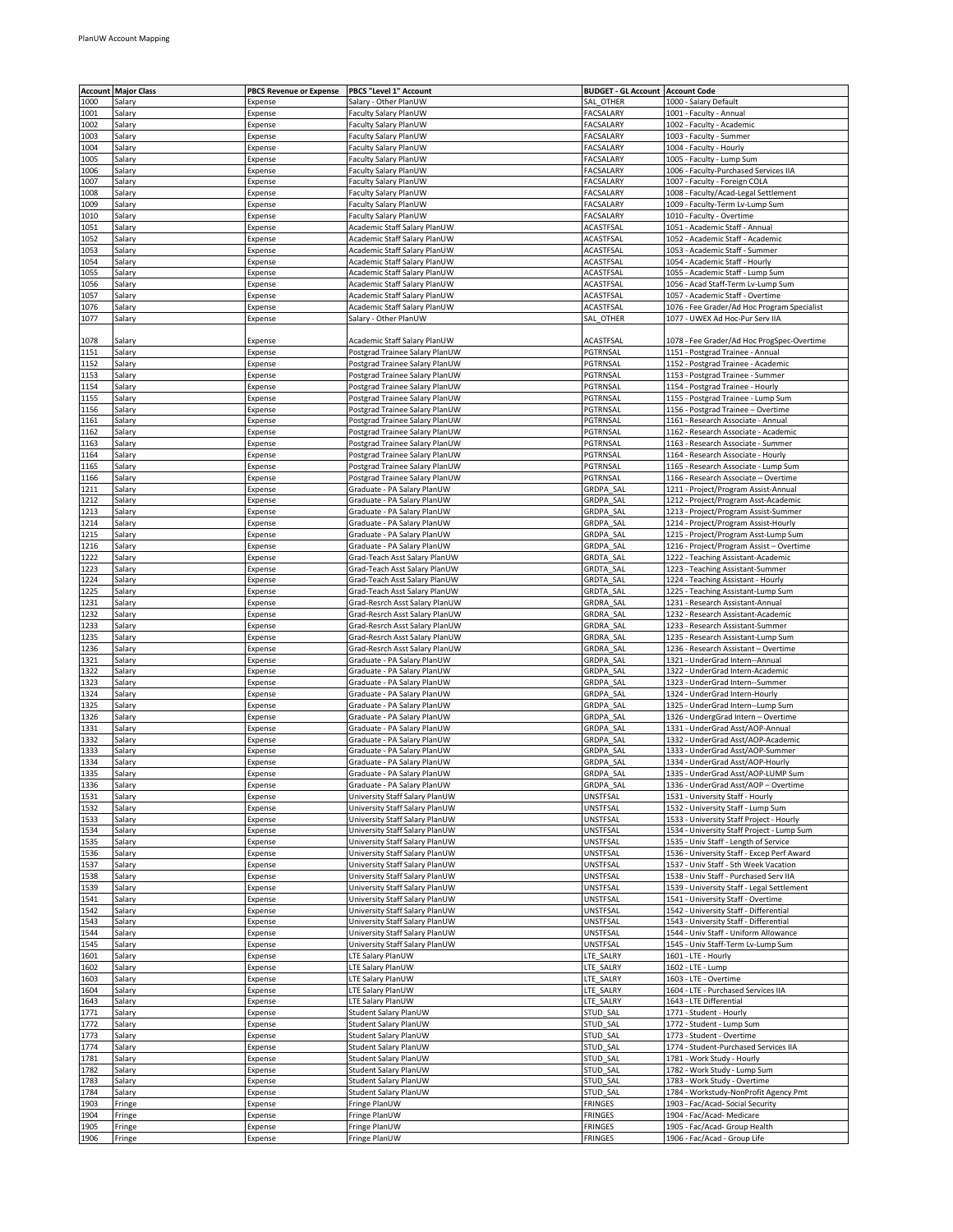|              | <b>Account Major Class</b> | <b>PBCS Revenue or Expense</b> | PBCS "Level 1" Account         | <b>BUDGET - GL Account   Account Code</b> |                                                               |
|--------------|----------------------------|--------------------------------|--------------------------------|-------------------------------------------|---------------------------------------------------------------|
| 1000         | Salary                     | Expense                        | Salary - Other PlanUW          | SAL OTHER                                 | 1000 - Salary Default                                         |
| 1001         | Salary                     | Expense                        | Faculty Salary PlanUW          | <b>FACSALARY</b>                          | 1001 - Faculty - Annual                                       |
| 1002         | Salary                     | Expense                        | Faculty Salary PlanUW          | FACSALARY                                 | 1002 - Faculty - Academic                                     |
| 1003         | Salary                     | Expense                        | Faculty Salary PlanUW          | FACSALARY                                 | 1003 - Faculty - Summer                                       |
|              |                            |                                |                                |                                           |                                                               |
| 1004         | Salary                     | Expense                        | Faculty Salary PlanUW          | FACSALARY                                 | 1004 - Faculty - Hourly                                       |
| 1005         | Salary                     | Expense                        | Faculty Salary PlanUW          | FACSALARY                                 | 1005 - Faculty - Lump Sum                                     |
| 1006         | Salary                     | Expense                        | Faculty Salary PlanUW          | <b>FACSALARY</b>                          | 1006 - Faculty-Purchased Services IIA                         |
| 1007         | Salary                     | Expense                        | Faculty Salary PlanUW          | FACSALARY                                 | 1007 - Faculty - Foreign COLA                                 |
| 1008         | Salary                     | Expense                        | Faculty Salary PlanUW          | FACSALARY                                 | 1008 - Faculty/Acad-Legal Settlement                          |
| 1009         | Salary                     | Expense                        | Faculty Salary PlanUW          | FACSALARY                                 | 1009 - Faculty-Term Lv-Lump Sum                               |
| 1010         | Salary                     | Expense                        | Faculty Salary PlanUW          | FACSALARY                                 | 1010 - Faculty - Overtime                                     |
| 1051         | Salary                     | Expense                        | Academic Staff Salary PlanUW   | ACASTFSAL                                 | 1051 - Academic Staff - Annual                                |
| 1052         | Salary                     | Expense                        | Academic Staff Salary PlanUW   | ACASTFSAL                                 | 1052 - Academic Staff - Academic                              |
| 1053         | Salary                     | Expense                        | Academic Staff Salary PlanUW   | ACASTFSAL                                 | 1053 - Academic Staff - Summer                                |
| 1054         | Salary                     | Expense                        | Academic Staff Salary PlanUW   | ACASTFSAL                                 | 1054 - Academic Staff - Hourly                                |
| 1055         | Salary                     | Expense                        | Academic Staff Salary PlanUW   | ACASTFSAL                                 | 1055 - Academic Staff - Lump Sum                              |
|              |                            |                                |                                |                                           |                                                               |
| 1056         | Salary                     | Expense                        | Academic Staff Salary PlanUW   | ACASTFSAL                                 | 1056 - Acad Staff-Term Lv-Lump Sum                            |
| 1057         | Salary                     | Expense                        | Academic Staff Salary PlanUW   | ACASTFSAL                                 | 1057 - Academic Staff - Overtime                              |
| 1076         | Salary                     | Expense                        | Academic Staff Salary PlanUW   | ACASTFSAL                                 | 1076 - Fee Grader/Ad Hoc Program Specialist                   |
| 1077         | Salary                     | Expense                        | Salary - Other PlanUW          | SAL OTHER                                 | 1077 - UWEX Ad Hoc-Pur Serv IIA                               |
|              |                            |                                |                                |                                           |                                                               |
| 1078         | Salary                     | Expense                        | Academic Staff Salary PlanUW   | ACASTFSAL                                 | 1078 - Fee Grader/Ad Hoc ProgSpec-Overtime                    |
| 1151         | Salary                     | Expense                        | Postgrad Trainee Salary PlanUW | PGTRNSAL                                  | 1151 - Postgrad Trainee - Annual                              |
| 1152         | Salary                     | Expense                        | Postgrad Trainee Salary PlanUW | PGTRNSAL                                  | 1152 - Postgrad Trainee - Academic                            |
| 1153         | Salary                     | Expense                        | Postgrad Trainee Salary PlanUW | PGTRNSAL                                  | 1153 - Postgrad Trainee - Summer                              |
| 1154         | Salary                     | Expense                        | Postgrad Trainee Salary PlanUW | PGTRNSAL                                  | 1154 - Postgrad Trainee - Hourly                              |
| 1155         | Salary                     | Expense                        | Postgrad Trainee Salary PlanUW | PGTRNSAL                                  | 1155 - Postgrad Trainee - Lump Sum                            |
| 1156         | Salary                     | Expense                        | Postgrad Trainee Salary PlanUW | PGTRNSAL                                  | 1156 - Postgrad Trainee – Overtime                            |
| 1161         | Salary                     | Expense                        | Postgrad Trainee Salary PlanUW | PGTRNSAL                                  | 1161 - Research Associate - Annual                            |
|              |                            |                                |                                | PGTRNSAL                                  |                                                               |
| 1162         | Salary                     | Expense                        | Postgrad Trainee Salary PlanUW |                                           | 1162 - Research Associate - Academic                          |
| 1163         | Salary                     | Expense                        | Postgrad Trainee Salary PlanUW | PGTRNSAL                                  | 1163 - Research Associate - Summer                            |
| 1164         | Salary                     | Expense                        | Postgrad Trainee Salary PlanUW | PGTRNSAL                                  | 1164 - Research Associate - Hourly                            |
| 1165         | Salary                     | Expense                        | Postgrad Trainee Salary PlanUW | PGTRNSAL                                  | 1165 - Research Associate - Lump Sum                          |
| 1166         | Salary                     | Expense                        | Postgrad Trainee Salary PlanUW | PGTRNSAL                                  | 1166 - Research Associate - Overtime                          |
| 1211         | Salary                     | Expense                        | Graduate - PA Salary PlanUW    | GRDPA_SAL                                 | 1211 - Project/Program Assist-Annual                          |
| 1212         | Salary                     | Expense                        | Graduate - PA Salary PlanUW    | <b>GRDPA SAL</b>                          | 1212 - Project/Program Asst-Academic                          |
| 1213         | Salary                     | Expense                        | Graduate - PA Salary PlanUW    | GRDPA SAL                                 | 1213 - Project/Program Assist-Summer                          |
| 1214         | Salary                     | Expense                        | Graduate - PA Salary PlanUW    | GRDPA SAL                                 | 1214 - Project/Program Assist-Hourly                          |
| 1215         | Salary                     | Expense                        | Graduate - PA Salary PlanUW    | GRDPA SAL                                 | 1215 - Project/Program Asst-Lump Sum                          |
| 1216         |                            |                                |                                | GRDPA SAL                                 |                                                               |
|              | Salary                     | Expense                        | Graduate - PA Salary PlanUW    |                                           | 1216 - Project/Program Assist - Overtime                      |
| 1222         | Salary                     | Expense                        | Grad-Teach Asst Salary PlanUW  | GRDTA_SAL                                 | 1222 - Teaching Assistant-Academic                            |
| 1223         | Salary                     | Expense                        | Grad-Teach Asst Salary PlanUW  | GRDTA_SAL                                 | 1223 - Teaching Assistant-Summer                              |
| 1224         | Salary                     | Expense                        | Grad-Teach Asst Salary PlanUW  | GRDTA_SAL                                 | 1224 - Teaching Assistant - Hourly                            |
| 1225         | Salary                     | Expense                        | Grad-Teach Asst Salary PlanUW  | <b>GRDTA SAL</b>                          | 1225 - Teaching Assistant-Lump Sum                            |
| 1231         | Salary                     | Expense                        | Grad-Resrch Asst Salary PlanUW | GRDRA SAL                                 | 1231 - Research Assistant-Annual                              |
| 1232         | Salary                     | Expense                        | Grad-Resrch Asst Salary PlanUW | GRDRA SAL                                 | 1232 - Research Assistant-Academic                            |
| 1233         | Salary                     | Expense                        | Grad-Resrch Asst Salary PlanUW | GRDRA SAL                                 | 1233 - Research Assistant-Summer                              |
| 1235         | Salary                     | Expense                        | Grad-Resrch Asst Salary PlanUW | GRDRA SAL                                 | 1235 - Research Assistant-Lump Sum                            |
| 1236         | Salary                     | Expense                        | Grad-Resrch Asst Salary PlanUW | GRDRA SAL                                 | 1236 - Research Assistant – Overtime                          |
| 1321         | Salary                     | Expense                        | Graduate - PA Salary PlanUW    | GRDPA SAL                                 | 1321 - UnderGrad Intern--Annual                               |
| 1322         | Salary                     | Expense                        | Graduate - PA Salary PlanUW    | GRDPA SAL                                 | 1322 - UnderGrad Intern-Academic                              |
| 1323         | Salary                     | Expense                        | Graduate - PA Salary PlanUW    | <b>GRDPA SAL</b>                          | 1323 - UnderGrad Intern--Summer                               |
| 1324         |                            |                                |                                |                                           |                                                               |
|              | Salary                     | Expense                        | Graduate - PA Salary PlanUW    | GRDPA SAL                                 | 1324 - UnderGrad Intern-Hourly                                |
| 1325         | Salary                     | Expense                        | Graduate - PA Salary PlanUW    | GRDPA SAL                                 | 1325 - UnderGrad Intern--Lump Sum                             |
| 1326         | Salary                     | Expense                        | Graduate - PA Salary PlanUW    | GRDPA SAL                                 | 1326 - UndergGrad Intern - Overtime                           |
| 1331         | Salary                     | Expense                        | Graduate - PA Salary PlanUW    | GRDPA SAL                                 | 1331 - UnderGrad Asst/AOP-Annual                              |
| 1332         | Salary                     | Expense                        | Graduate - PA Salary PlanUW    | GRDPA SAL                                 | 1332 - UnderGrad Asst/AOP-Academic                            |
| 1333         | Salary                     | Expense                        | Graduate - PA Salary PlanUW    | GRDPA_SAL                                 | 1333 - UnderGrad Asst/AOP-Summer                              |
| 1334         | Salary                     | Expense                        | Graduate - PA Salary PlanUW    | GRDPA SAL                                 | 1334 - UnderGrad Asst/AOP-Hourly                              |
| 1335         | Salary                     | Expense                        | Graduate - PA Salary PlanUW    | GRDPA SAL                                 | 1335 - UnderGrad Asst/AUP-LUMP sum                            |
| 1336         | Salary                     | Expense                        | Graduate - PA Salary PlanUW    | GRDPA SAL                                 | 1336 - UnderGrad Asst/AOP - Overtime                          |
| 1531         | Salary                     | Expense                        | University Staff Salary PlanUW | UNSTFSAL                                  | 1531 - University Staff - Hourly                              |
| 1532         | Salary                     | Expense                        | University Staff Salary PlanUW | UNSTFSAL                                  | 1532 - University Staff - Lump Sum                            |
| 1533         |                            | Expense                        | University Staff Salary PlanUW | UNSTFSAL                                  | 1533 - University Staff Project - Hourly                      |
|              | Salary                     |                                |                                |                                           |                                                               |
| 1534         | Salary                     | Expense                        | University Staff Salary PlanUW | UNSTFSAL                                  | 1534 - University Staff Project - Lump Sum                    |
| 1535         | Salary                     | Expense                        | University Staff Salary PlanUW | UNSTFSAL                                  | 1535 - Univ Staff - Length of Service                         |
| 1536         | Salary                     | Expense                        | University Staff Salary PlanUW | UNSTFSAL                                  | 1536 - University Staff - Excep Perf Award                    |
| 1537         | Salary                     | Expense                        | University Staff Salary PlanUW | UNSTFSAL                                  | 1537 - Univ Staff - 5th Week Vacation                         |
| 1538         | Salary                     | Expense                        | University Staff Salary PlanUW | UNSTFSAL                                  | 1538 - Univ Staff - Purchased Serv IIA                        |
| 1539         | Salary                     | Expense                        | University Staff Salary PlanUW | UNSTFSAL                                  | 1539 - University Staff - Legal Settlement                    |
| 1541         | Salary                     | Expense                        | University Staff Salary PlanUW | UNSTFSAL                                  | 1541 - University Staff - Overtime                            |
| 1542         | Salary                     | Expense                        | University Staff Salary PlanUW | UNSTFSAL                                  | 1542 - University Staff - Differential                        |
| 1543         | Salary                     | Expense                        | University Staff Salary PlanUW | UNSTFSAL                                  | 1543 - University Staff - Differential                        |
| 1544         | Salary                     | Expense                        | University Staff Salary PlanUW | UNSTFSAL                                  | 1544 - Univ Staff - Uniform Allowance                         |
| 1545         | Salary                     | Expense                        | University Staff Salary PlanUW | UNSTFSAL                                  | 1545 - Univ Staff-Term Lv-Lump Sum                            |
| 1601         | Salary                     | Expense                        | LTE Salary PlanUW              | LTE_SALRY                                 | 1601 - LTE - Hourly                                           |
| 1602         |                            |                                | LTE Salary PlanUW              |                                           | 1602 - LTE - Lump                                             |
|              | Salary                     | Expense                        |                                | LTE_SALRY                                 |                                                               |
| 1603         | Salary                     | Expense                        | LTE Salary PlanUW              | LTE_SALRY                                 | 1603 - LTE - Overtime                                         |
| 1604         | Salary                     | Expense                        | LTE Salary PlanUW              | LTE_SALRY                                 | 1604 - LTE - Purchased Services IIA                           |
| 1643         | Salary                     | Expense                        | LTE Salary PlanUW              | LTE_SALRY                                 | 1643 - LTE Differential                                       |
| 1771         | Salary                     | Expense                        | Student Salary PlanUW          | STUD_SAL                                  | 1771 - Student - Hourly                                       |
| 1772         | Salary                     | Expense                        | Student Salary PlanUW          | STUD_SAL                                  | 1772 - Student - Lump Sum                                     |
| 1773         | Salary                     | Expense                        | Student Salary PlanUW          | STUD_SAL                                  | 1773 - Student - Overtime                                     |
| 1774         | Salary                     | Expense                        | Student Salary PlanUW          | STUD_SAL                                  | 1774 - Student-Purchased Services IIA                         |
| 1781         | Salary                     | Expense                        | Student Salary PlanUW          | STUD_SAL                                  | 1781 - Work Study - Hourly                                    |
| 1782         | Salary                     | Expense                        | Student Salary PlanUW          | STUD_SAL                                  | 1782 - Work Study - Lump Sum                                  |
| 1783         | Salary                     | Expense                        | Student Salary PlanUW          | STUD_SAL                                  | 1783 - Work Study - Overtime                                  |
| 1784         |                            |                                | Student Salary PlanUW          | STUD_SAL                                  | 1784 - Workstudy-NonProfit Agency Pmt                         |
|              | Salary                     | Expense                        |                                |                                           |                                                               |
|              |                            |                                |                                |                                           |                                                               |
| 1903         | Fringe                     | Expense                        | Fringe PlanUW                  | <b>FRINGES</b>                            | 1903 - Fac/Acad- Social Security                              |
| 1904         | Fringe                     | Expense                        | Fringe PlanUW                  | <b>FRINGES</b>                            | 1904 - Fac/Acad- Medicare                                     |
| 1905<br>1906 | Fringe<br>Fringe           | Expense<br>Expense             | Fringe PlanUW<br>Fringe PlanUW | <b>FRINGES</b><br><b>FRINGES</b>          | 1905 - Fac/Acad- Group Health<br>1906 - Fac/Acad - Group Life |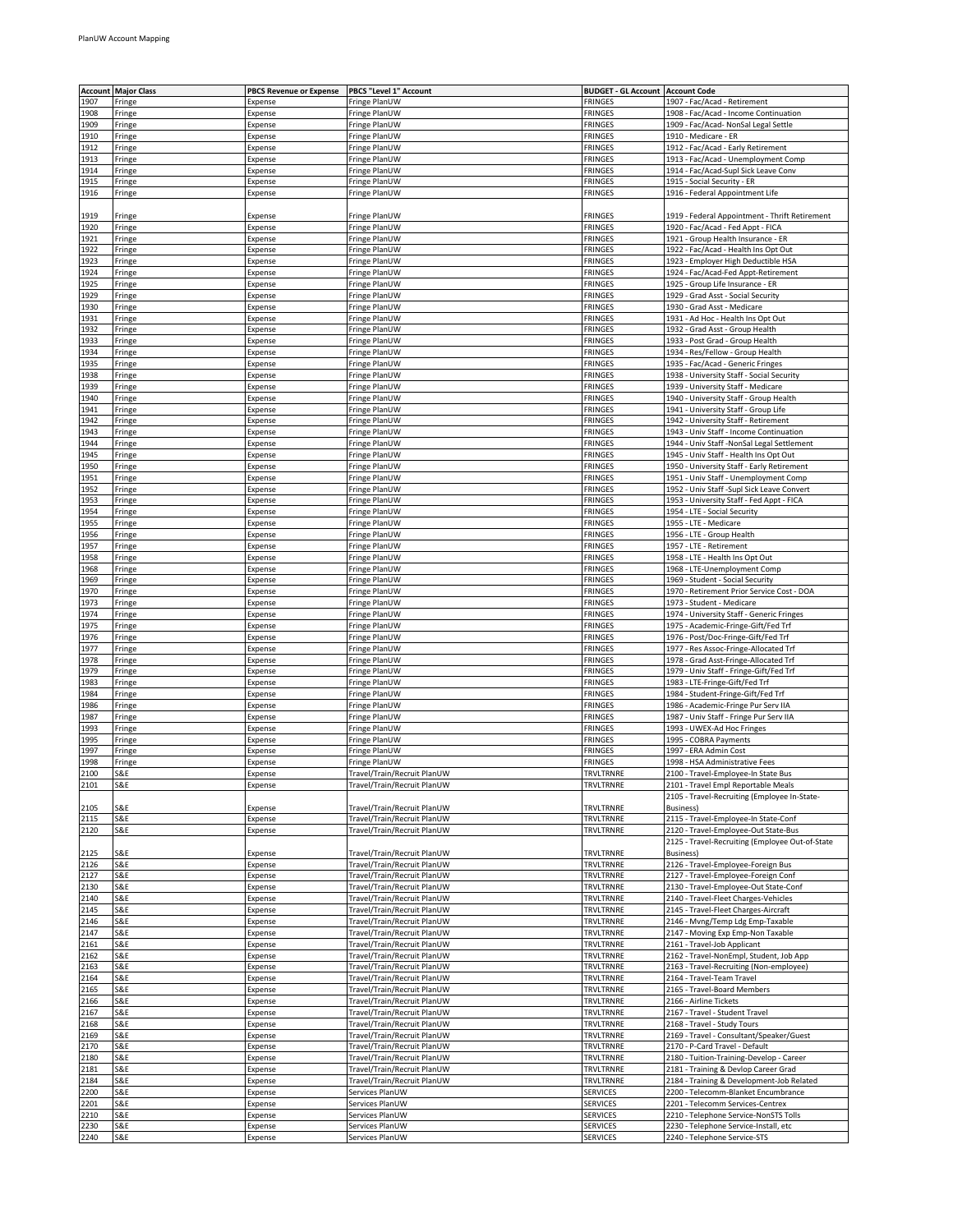| Account      | <b>Major Class</b> | <b>PBCS Revenue or Expense</b> | PBCS "Level 1" Account                                     | <b>BUDGET - GL Account</b>       | <b>Account Code</b>                                                              |
|--------------|--------------------|--------------------------------|------------------------------------------------------------|----------------------------------|----------------------------------------------------------------------------------|
| 1907         | Fringe             | Expense                        | Fringe PlanUW                                              | <b>FRINGES</b>                   | 1907 - Fac/Acad - Retirement                                                     |
| 1908         | Fringe             | Expense                        | Fringe PlanUW                                              | <b>FRINGES</b>                   | 1908 - Fac/Acad - Income Continuation                                            |
| 1909         | Fringe             | Expense                        | Fringe PlanUW                                              | FRINGES                          | 1909 - Fac/Acad- NonSal Legal Settle                                             |
| 1910         | Fringe             | Expense                        | Fringe PlanUW                                              | FRINGES                          | 1910 - Medicare - ER                                                             |
| 1912         | Fringe             | Expense                        | Fringe PlanUW                                              | <b>FRINGES</b>                   | 1912 - Fac/Acad - Early Retirement                                               |
| 1913         | Fringe             | Expense                        | Fringe PlanUW                                              | <b>FRINGES</b>                   | 1913 - Fac/Acad - Unemployment Comp                                              |
| 1914         | Fringe             | Expense                        | Fringe PlanUW                                              | <b>FRINGES</b>                   | 1914 - Fac/Acad-Supl Sick Leave Conv                                             |
| 1915         | Fringe             | Expense                        | Fringe PlanUW                                              | FRINGES                          | 1915 - Social Security - ER                                                      |
| 1916         | Fringe             | Expense                        | Fringe PlanUW                                              | <b>FRINGES</b>                   | 1916 - Federal Appointment Life                                                  |
|              |                    |                                |                                                            |                                  |                                                                                  |
| 1919         | Fringe             | Expense                        | Fringe PlanUW                                              | <b>FRINGES</b>                   | 1919 - Federal Appointment - Thrift Retirement                                   |
| 1920         | Fringe             | Expense                        | Fringe PlanUW                                              | <b>FRINGES</b>                   | 1920 - Fac/Acad - Fed Appt - FICA                                                |
| 1921<br>1922 | Fringe<br>Fringe   | Expense<br>Expense             | Fringe PlanUW<br>Fringe PlanUW                             | <b>FRINGES</b><br><b>FRINGES</b> | 1921 - Group Health Insurance - ER<br>1922 - Fac/Acad - Health Ins Opt Out       |
| 1923         | Fringe             | Expense                        | Fringe PlanUW                                              | FRINGES                          | 1923 - Employer High Deductible HSA                                              |
| 1924         | Fringe             | Expense                        | Fringe PlanUW                                              | <b>FRINGES</b>                   | 1924 - Fac/Acad-Fed Appt-Retirement                                              |
| 1925         | Fringe             | Expense                        | Fringe PlanUW                                              | FRINGES                          | 1925 - Group Life Insurance - ER                                                 |
| 1929         | Fringe             | Expense                        | Fringe PlanUW                                              | <b>FRINGES</b>                   | 1929 - Grad Asst - Social Security                                               |
| 1930         | Fringe             | Expense                        | Fringe PlanUW                                              | FRINGES                          | 1930 - Grad Asst - Medicare                                                      |
| 1931         | Fringe             | Expense                        | Fringe PlanUW                                              | <b>FRINGES</b>                   | 1931 - Ad Hoc - Health Ins Opt Out                                               |
| 1932         | Fringe             | Expense                        | Fringe PlanUW                                              | <b>FRINGES</b>                   | 1932 - Grad Asst - Group Health                                                  |
| 1933         | Fringe             | Expense                        | Fringe PlanUW                                              | FRINGES                          | 1933 - Post Grad - Group Health                                                  |
| 1934         | Fringe             | Expense                        | Fringe PlanUW                                              | <b>FRINGES</b>                   | 1934 - Res/Fellow - Group Health                                                 |
| 1935         | Fringe             | Expense                        | Fringe PlanUW                                              | FRINGES                          | 1935 - Fac/Acad - Generic Fringes                                                |
| 1938         | Fringe             | Expense                        | Fringe PlanUW                                              | <b>FRINGES</b>                   | 1938 - University Staff - Social Security                                        |
| 1939<br>1940 | Fringe             | Expense                        | Fringe PlanUW<br>Fringe PlanUW                             | FRINGES<br><b>FRINGES</b>        | 1939 - University Staff - Medicare<br>1940 - University Staff - Group Health     |
| 1941         | Fringe<br>Fringe   | Expense<br>Expense             | Fringe PlanUW                                              | FRINGES                          | 1941 - University Staff - Group Life                                             |
| 1942         | Fringe             | Expense                        | Fringe PlanUW                                              | <b>FRINGES</b>                   | 1942 - University Staff - Retirement                                             |
| 1943         | Fringe             | Expense                        | Fringe PlanUW                                              | <b>FRINGES</b>                   | 1943 - Univ Staff - Income Continuation                                          |
| 1944         | Fringe             | Expense                        | Fringe PlanUW                                              | FRINGES                          | 1944 - Univ Staff -NonSal Legal Settlement                                       |
| 1945         | Fringe             | Expense                        | Fringe PlanUW                                              | <b>FRINGES</b>                   | 1945 - Univ Staff - Health Ins Opt Out                                           |
| 1950         | Fringe             | Expense                        | Fringe PlanUW                                              | <b>FRINGES</b>                   | 1950 - University Staff - Early Retirement                                       |
| 1951         | Fringe             | Expense                        | Fringe PlanUW                                              | <b>FRINGES</b>                   | 1951 - Univ Staff - Unemployment Comp                                            |
| 1952         | Fringe             | Expense                        | Fringe PlanUW                                              | <b>FRINGES</b>                   | 1952 - Univ Staff -Supl Sick Leave Convert                                       |
| 1953         | Fringe             | Expense                        | Fringe PlanUW                                              | <b>FRINGES</b>                   | 1953 - University Staff - Fed Appt - FICA                                        |
| 1954         | Fringe             | Expense                        | Fringe PlanUW                                              | <b>FRINGES</b>                   | 1954 - LTE - Social Security                                                     |
| 1955         | Fringe             | Expense                        | Fringe PlanUW                                              | <b>FRINGES</b>                   | 1955 - LTE - Medicare                                                            |
| 1956         | Fringe             | Expense                        | Fringe PlanUW                                              | <b>FRINGES</b>                   | 1956 - LTE - Group Health                                                        |
| 1957         | Fringe             | Expense                        | Fringe PlanUW                                              | FRINGES                          | 1957 - LTE - Retirement                                                          |
| 1958         | Fringe             | Expense                        | Fringe PlanUW                                              | <b>FRINGES</b>                   | 1958 - LTE - Health Ins Opt Out                                                  |
| 1968         | Fringe             | Expense                        | Fringe PlanUW                                              | <b>FRINGES</b>                   | 1968 - LTE-Unemployment Comp                                                     |
| 1969<br>1970 | Fringe             | Expense<br>Expense             | Fringe PlanUW<br>Fringe PlanUW                             | <b>FRINGES</b><br><b>FRINGES</b> | 1969 - Student - Social Security<br>1970 - Retirement Prior Service Cost - DOA   |
| 1973         | Fringe<br>Fringe   | Expense                        | Fringe PlanUW                                              | FRINGES                          | 1973 - Student - Medicare                                                        |
| 1974         | Fringe             | Expense                        | Fringe PlanUW                                              | <b>FRINGES</b>                   | 1974 - University Staff - Generic Fringes                                        |
| 1975         | Fringe             | Expense                        | Fringe PlanUW                                              | <b>FRINGES</b>                   | 1975 - Academic-Fringe-Gift/Fed Trf                                              |
| 1976         | Fringe             | Expense                        | Fringe PlanUW                                              | <b>FRINGES</b>                   | 1976 - Post/Doc-Fringe-Gift/Fed Trf                                              |
| 1977         | Fringe             | Expense                        | Fringe PlanUW                                              | FRINGES                          | 1977 - Res Assoc-Fringe-Allocated Trf                                            |
| 1978         | Fringe             | Expense                        | Fringe PlanUW                                              | <b>FRINGES</b>                   | 1978 - Grad Asst-Fringe-Allocated Trf                                            |
| 1979         | Fringe             | Expense                        | Fringe PlanUW                                              | FRINGES                          | 1979 - Univ Staff - Fringe-Gift/Fed Trf                                          |
| 1983         | Fringe             | Expense                        | Fringe PlanUW                                              | <b>FRINGES</b>                   | 1983 - LTE-Fringe-Gift/Fed Trf                                                   |
| 1984         | Fringe             | Expense                        | Fringe PlanUW                                              | <b>FRINGES</b>                   | 1984 - Student-Fringe-Gift/Fed Trf                                               |
| 1986         | Fringe             | Expense                        | Fringe PlanUW                                              | FRINGES                          | 1986 - Academic-Fringe Pur Serv IIA                                              |
| 1987         | Fringe             | Expense                        | Fringe PlanUW                                              | <b>FRINGES</b>                   | 1987 - Univ Staff - Fringe Pur Serv IIA                                          |
| 1993         | Fringe             | Expense                        | Fringe PlanUW                                              | <b>FRINGES</b>                   | 1993 - UWEX-Ad Hoc Fringes                                                       |
| 1995<br>1997 | Fringe             | Expense<br>Expense             | Fringe PlanUW<br>Fringe PlanUW                             | <b>FRINGES</b><br><b>FRINGES</b> | 1995 - COBRA Payments<br>1997 - ERA Admin Cost                                   |
| 1998         | Fringe<br>Fringe   | Expense                        | Fringe PlanUW                                              | FRINGES                          | 1998 - HSA Administrative Fees                                                   |
| 2100         | S&E                | Expense                        | Travel/Train/Recruit PlanUW                                | TRVLTRNRE                        | 2100 - Travel-Employee-In State Bus                                              |
| 2101         | S&E                | Expense                        | Travel/Train/Recruit PlanUW                                | TRVLTRNRE                        | 2101 - Travel Empl Reportable Meals                                              |
|              |                    |                                |                                                            |                                  | 2105 - Travel-Recruiting (Employee In-State-                                     |
| 2105         | S&E                | Expense                        | Travel/Train/Recruit PlanUW                                | TRVLTRNRE                        | Business)                                                                        |
| 2115         | S&E                | Expense                        | Travel/Train/Recruit PlanUW                                | TRVLTRNRE                        | 2115 - Travel-Employee-In State-Conf                                             |
| 2120         | S&E                | Expense                        | Travel/Train/Recruit PlanUW                                | TRVLTRNRE                        | 2120 - Travel-Employee-Out State-Bus                                             |
|              |                    |                                |                                                            |                                  | 2125 - Travel-Recruiting (Employee Out-of-State                                  |
| 2125         | S&E                | Expense                        | Travel/Train/Recruit PlanUW                                | TRVLTRNRE                        | Business)                                                                        |
| 2126         | S&E                | Expense                        | Travel/Train/Recruit PlanUW                                | TRVLTRNRE                        | 2126 - Travel-Employee-Foreign Bus                                               |
| 2127         | S&E                | Expense                        | Travel/Train/Recruit PlanUW                                | TRVLTRNRE                        | 2127 - Travel-Employee-Foreign Conf                                              |
| 2130<br>2140 | S&E<br>S&E         | Expense<br>Expense             | Travel/Train/Recruit PlanUW<br>Travel/Train/Recruit PlanUW | TRVLTRNRE<br>TRVLTRNRE           | 2130 - Travel-Employee-Out State-Conf<br>2140 - Travel-Fleet Charges-Vehicles    |
| 2145         | S&E                | Expense                        | Travel/Train/Recruit PlanUW                                | TRVLTRNRE                        | 2145 - Travel-Fleet Charges-Aircraft                                             |
| 2146         | S&E                | Expense                        | Travel/Train/Recruit PlanUW                                | TRVLTRNRE                        | 2146 - Mvng/Temp Ldg Emp-Taxable                                                 |
| 2147         | S&E                | Expense                        | Travel/Train/Recruit PlanUW                                | TRVLTRNRE                        | 2147 - Moving Exp Emp-Non Taxable                                                |
| 2161         | S&E                | Expense                        | Travel/Train/Recruit PlanUW                                | TRVLTRNRE                        | 2161 - Travel-Job Applicant                                                      |
| 2162         | S&E                | Expense                        | Travel/Train/Recruit PlanUW                                | TRVLTRNRE                        | 2162 - Travel-NonEmpl, Student, Job App                                          |
| 2163         | S&E                | Expense                        | Travel/Train/Recruit PlanUW                                | TRVLTRNRE                        | 2163 - Travel-Recruiting (Non-employee)                                          |
| 2164         | S&E                | Expense                        | Travel/Train/Recruit PlanUW                                | TRVLTRNRE                        | 2164 - Travel-Team Travel                                                        |
| 2165         | S&E                | Expense                        | Travel/Train/Recruit PlanUW                                | TRVLTRNRE                        | 2165 - Travel-Board Members                                                      |
| 2166         | S&E                | Expense                        | Travel/Train/Recruit PlanUW                                | TRVLTRNRE                        | 2166 - Airline Tickets                                                           |
| 2167         | S&E                | Expense                        | Travel/Train/Recruit PlanUW                                | TRVLTRNRE                        | 2167 - Travel - Student Travel                                                   |
| 2168         | S&E                | Expense                        | Travel/Train/Recruit PlanUW                                | TRVLTRNRE                        | 2168 - Travel - Study Tours                                                      |
| 2169         | S&E                | Expense                        | Travel/Train/Recruit PlanUW                                | TRVLTRNRE                        | 2169 - Travel - Consultant/Speaker/Guest                                         |
| 2170         | S&E                | Expense                        | Travel/Train/Recruit PlanUW                                | TRVLTRNRE                        | 2170 - P-Card Travel - Default                                                   |
| 2180         | S&E                | Expense                        | Travel/Train/Recruit PlanUW                                | TRVLTRNRE                        | 2180 - Tuition-Training-Develop - Career                                         |
| 2181<br>2184 | S&E<br>S&E         | Expense                        | Travel/Train/Recruit PlanUW<br>Travel/Train/Recruit PlanUW | TRVLTRNRE<br>TRVLTRNRE           | 2181 - Training & Devlop Career Grad                                             |
| 2200         | S&E                | Expense<br>Expense             | Services PlanUW                                            | <b>SERVICES</b>                  | 2184 - Training & Development-Job Related<br>2200 - Telecomm-Blanket Encumbrance |
| 2201         | S&E                | Expense                        | Services PlanUW                                            | <b>SERVICES</b>                  | 2201 - Telecomm Services-Centrex                                                 |
| 2210         | S&E                | Expense                        | Services PlanUW                                            | <b>SERVICES</b>                  | 2210 - Telephone Service-NonSTS Tolls                                            |
| 2230         | S&E                | Expense                        | Services PlanUW                                            | <b>SERVICES</b>                  | 2230 - Telephone Service-Install, etc                                            |
| 2240         | S&E                | Expense                        | Services PlanUW                                            | SERVICES                         | 2240 - Telephone Service-STS                                                     |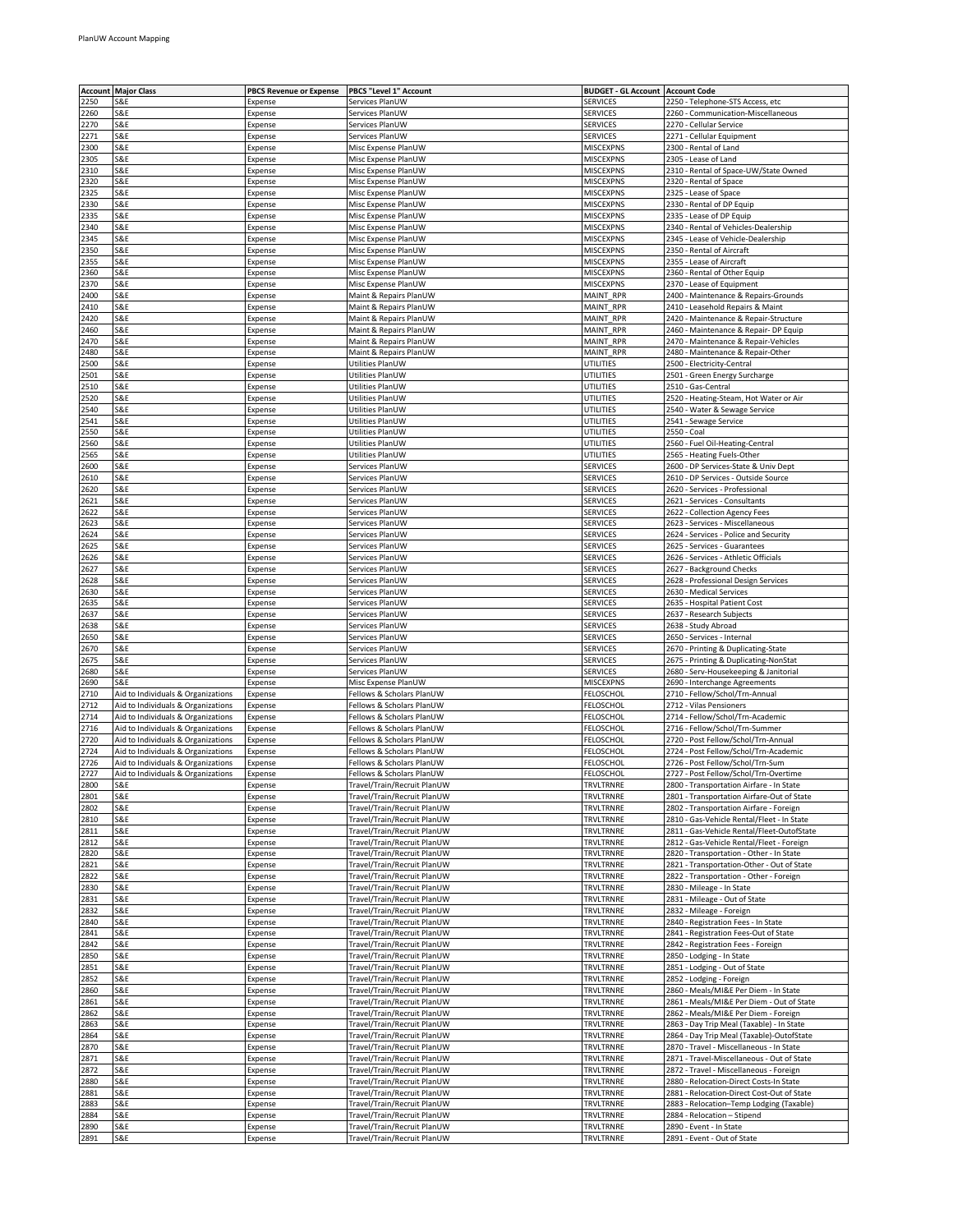|              | <b>Account Major Class</b>                | <b>PBCS Revenue or Expense</b> | PBCS "Level 1" Account                                     | <b>BUDGET - GL Account   Account Code</b> |                                                                                        |
|--------------|-------------------------------------------|--------------------------------|------------------------------------------------------------|-------------------------------------------|----------------------------------------------------------------------------------------|
| 2250         | S&E                                       | Expense                        | Services PlanUW                                            | <b>SERVICES</b>                           | 2250 - Telephone-STS Access, etc                                                       |
| 2260         | S&E                                       | Expense                        | Services PlanUW                                            | SERVICES                                  | 2260 - Communication-Miscellaneous                                                     |
| 2270         | S&E                                       | Expense                        | Services PlanUW                                            | <b>SERVICES</b>                           | 2270 - Cellular Service                                                                |
| 2271         | S&E                                       | Expense                        | Services PlanUW                                            | <b>SERVICES</b>                           | 2271 - Cellular Equipment                                                              |
| 2300<br>2305 | S&E<br>S&E                                | Expense                        | Misc Expense PlanUW<br>Misc Expense PlanUW                 | <b>MISCEXPNS</b><br><b>MISCEXPNS</b>      | 2300 - Rental of Land<br>2305 - Lease of Land                                          |
| 2310         | S&E                                       | Expense<br>Expense             | Misc Expense PlanUW                                        | <b>MISCEXPNS</b>                          | 2310 - Rental of Space-UW/State Owned                                                  |
| 2320         | S&E                                       | Expense                        | Misc Expense PlanUW                                        | <b>MISCEXPNS</b>                          | 2320 - Rental of Space                                                                 |
| 2325         | S&E                                       | Expense                        | Misc Expense PlanUW                                        | <b>MISCEXPNS</b>                          | 2325 - Lease of Space                                                                  |
| 2330         | S&E                                       | Expense                        | Misc Expense PlanUW                                        | MISCEXPNS                                 | 2330 - Rental of DP Equip                                                              |
| 2335         | S&E                                       | Expense                        | Misc Expense PlanUW                                        | <b>MISCEXPNS</b>                          | 2335 - Lease of DP Equip                                                               |
| 2340         | S&E                                       | Expense                        | Misc Expense PlanUW                                        | <b>MISCEXPNS</b>                          | 2340 - Rental of Vehicles-Dealership                                                   |
| 2345         | S&E                                       | Expense                        | Misc Expense PlanUW                                        | <b>MISCEXPNS</b>                          | 2345 - Lease of Vehicle-Dealership                                                     |
| 2350<br>2355 | S&E<br>S&E                                | Expense<br>Expense             | Misc Expense PlanUW<br>Misc Expense PlanUW                 | MISCEXPNS<br><b>MISCEXPNS</b>             | 2350 - Rental of Aircraft<br>2355 - Lease of Aircraft                                  |
| 2360         | S&E                                       | Expense                        | Misc Expense PlanUW                                        | <b>MISCEXPNS</b>                          | 2360 - Rental of Other Equip                                                           |
| !370         | 5&E                                       | Expense                        | Misc Expense PlanUW                                        | MISCEXPNS                                 | 2370 - Lease of Equipment                                                              |
| 2400         | S&E                                       | Expense                        | Maint & Repairs PlanUW                                     | MAINT_RPR                                 | 2400 - Maintenance & Repairs-Grounds                                                   |
| 2410         | S&E                                       | Expense                        | Maint & Repairs PlanUW                                     | MAINT_RPR                                 | 2410 - Leasehold Repairs & Maint                                                       |
| 2420         | S&E                                       | Expense                        | Maint & Repairs PlanUW                                     | MAINT_RPR                                 | 2420 - Maintenance & Repair-Structure                                                  |
| 2460         | S&E                                       | Expense                        | Maint & Repairs PlanUW                                     | MAINT_RPR                                 | 2460 - Maintenance & Repair- DP Equip                                                  |
| 2470         | S&E                                       | Expense                        | Maint & Repairs PlanUW                                     | MAINT_RPR                                 | 2470 - Maintenance & Repair-Vehicles                                                   |
| 2480<br>2500 | S&E<br>S&E                                | Expense<br>Expense             | Maint & Repairs PlanUW<br>Utilities PlanUW                 | MAINT RPR<br>UTILITIES                    | 2480 - Maintenance & Repair-Other<br>2500 - Electricity-Central                        |
| 2501         | S&E                                       | Expense                        | Utilities PlanUW                                           | UTILITIES                                 | 2501 - Green Energy Surcharge                                                          |
| 2510         | S&E                                       | Expense                        | Utilities PlanUW                                           | UTILITIES                                 | 2510 - Gas-Central                                                                     |
| 2520         | S&E                                       | Expense                        | Utilities PlanUW                                           | UTILITIES                                 | 2520 - Heating-Steam, Hot Water or Air                                                 |
| 2540         | S&E                                       | Expense                        | Utilities PlanUW                                           | UTILITIES                                 | 2540 - Water & Sewage Service                                                          |
| 2541         | S&E                                       | Expense                        | Utilities PlanUW                                           | UTILITIES                                 | 2541 - Sewage Service                                                                  |
| 2550         | S&E                                       | Expense                        | Utilities PlanUW                                           | UTILITIES                                 | 2550 - Coal                                                                            |
| 2560         | S&E                                       | Expense                        | Utilities PlanUW                                           | UTILITIES                                 | 2560 - Fuel Oil-Heating-Central                                                        |
| 2565<br>2600 | S&E<br>S&E                                | Expense<br>Expense             | Utilities PlanUW<br>Services PlanUW                        | UTILITIES<br>SERVICES                     | 2565 - Heating Fuels-Other<br>2600 - DP Services-State & Univ Dept                     |
| 2610         | S&E                                       | Expense                        | Services PlanUW                                            | <b>SERVICES</b>                           | 2610 - DP Services - Outside Source                                                    |
| 2620         | S&E                                       | Expense                        | Services PlanUW                                            | <b>SERVICES</b>                           | 2620 - Services - Professional                                                         |
| 2621         | S&E                                       | Expense                        | Services PlanUW                                            | <b>SERVICES</b>                           | 2621 - Services - Consultants                                                          |
| 2622         | S&E                                       | Expense                        | Services PlanUW                                            | SERVICES                                  | 2622 - Collection Agency Fees                                                          |
| 2623         | S&E                                       | Expense                        | Services PlanUW                                            | <b>SERVICES</b>                           | 2623 - Services - Miscellaneous                                                        |
| 2624         | S&E                                       | Expense                        | Services PlanUW                                            | <b>SERVICES</b>                           | 2624 - Services - Police and Security                                                  |
| 2625         | S&E                                       | Expense                        | Services PlanUW                                            | <b>SERVICES</b>                           | 2625 - Services - Guarantees                                                           |
| 2626         | S&E                                       | Expense                        | Services PlanUW                                            | <b>SERVICES</b>                           | 2626 - Services - Athletic Officials                                                   |
| 2627<br>2628 | S&E<br>S&E                                | Expense<br>Expense             | Services PlanUW<br>Services PlanUW                         | SERVICES<br><b>SERVICES</b>               | 2627 - Background Checks<br>2628 - Professional Design Services                        |
| 2630         | S&E                                       | Expense                        | Services PlanUW                                            | <b>SERVICES</b>                           | 2630 - Medical Services                                                                |
| 2635         | S&E                                       | Expense                        | Services PlanUW                                            | <b>SERVICES</b>                           | 2635 - Hospital Patient Cost                                                           |
| 2637         | S&E                                       | Expense                        | Services PlanUW                                            | SERVICES                                  | 2637 - Research Subjects                                                               |
| 2638         | S&E                                       | Expense                        | Services PlanUW                                            | <b>SERVICES</b>                           | 2638 - Study Abroad                                                                    |
| 2650         | S&E                                       | Expense                        | Services PlanUW                                            | <b>SERVICES</b>                           | 2650 - Services - Internal                                                             |
| 2670         | S&E                                       | Expense                        | Services PlanUW                                            | <b>SERVICES</b>                           | 2670 - Printing & Duplicating-State                                                    |
| 2675         | S&E                                       | Expense                        | Services PlanUW                                            | <b>SERVICES</b>                           | 2675 - Printing & Duplicating-NonStat                                                  |
| 2680<br>2690 | S&E<br>S&E                                | Expense<br>Expense             | Services PlanUW<br>Misc Expense PlanUW                     | SERVICES<br><b>MISCEXPNS</b>              | 2680 - Serv-Housekeeping & Janitorial<br>2690 - Interchange Agreements                 |
| 2710         | Aid to Individuals & Organizations        | Expense                        | Fellows & Scholars PlanUW                                  | FELOSCHOL                                 | 2710 - Fellow/Schol/Trn-Annual                                                         |
| 2712         | Aid to Individuals & Organizations        | Expense                        | Fellows & Scholars PlanUW                                  | FELOSCHOL                                 | 2712 - Vilas Pensioners                                                                |
| 2714         | Aid to Individuals & Organizations        | Expense                        | Fellows & Scholars PlanUW                                  | <b>FELOSCHOL</b>                          | 2714 - Fellow/Schol/Trn-Academic                                                       |
| 2716         | Aid to Individuals & Organizations        | Expense                        | Fellows & Scholars PlanUW                                  | FELOSCHOL                                 | 2716 - Fellow/Schol/Trn-Summer                                                         |
| 2720         | Aid to Individuals & Organizations        | Expense                        | Fellows & Scholars PlanUW                                  | FELOSCHOL                                 | 2720 - Post Fellow/Schol/Trn-Annual                                                    |
| 2724         | Aid to Individuals & Organizations        | Expense                        | Fellows & Scholars PlanUW                                  | FELOSCHOL                                 | 2724 - Post Fellow/Schol/Trn-Academic                                                  |
| 2726<br>2727 | Aid to Individuals & Organizations        | Expense                        | Fellows & Scholars PlanUW                                  | <b>FELOSCHOL</b>                          | 2726 - Post Fellow/Schol/Trn-Sum                                                       |
| 2800         | Aid to Individuals & Organizations<br>S&E | Expense<br>Expense             | Fellows & Scholars PlanUW<br>Travel/Train/Recruit PlanUW   | FELOSCHOL<br>TRVLTRNRE                    | 2727 - Post Fellow/Schol/Trn-Overtime<br>2800 - Transportation Airfare - In State      |
| 2801         | S&E                                       | Expense                        | Travel/Train/Recruit PlanUW                                | TRVLTRNRE                                 | 2801 - Transportation Airfare-Out of State                                             |
| 2802         | S&E                                       | Expense                        | Travel/Train/Recruit PlanUW                                | TRVLTRNRE                                 | 2802 - Transportation Airfare - Foreign                                                |
| 2810         | S&E                                       | Expense                        | Travel/Train/Recruit PlanUW                                | TRVLTRNRE                                 | 2810 - Gas-Vehicle Rental/Fleet - In State                                             |
| 2811         | S&E                                       | Expense                        | Travel/Train/Recruit PlanUW                                | TRVLTRNRE                                 | 2811 - Gas-Vehicle Rental/Fleet-OutofState                                             |
| 2812         | S&E                                       | Expense                        | Travel/Train/Recruit PlanUW                                | TRVLTRNRE                                 | 2812 - Gas-Vehicle Rental/Fleet - Foreign                                              |
| 2820         | S&E                                       | Expense                        | Travel/Train/Recruit PlanUW                                | TRVLTRNRE                                 | 2820 - Transportation - Other - In State                                               |
| 2821<br>2822 | S&E<br>S&E                                | Expense<br>Expense             | Travel/Train/Recruit PlanUW<br>Travel/Train/Recruit PlanUW | TRVLTRNRE<br>TRVLTRNRE                    | 2821 - Transportation-Other - Out of State<br>2822 - Transportation - Other - Foreign  |
| 2830         | S&E                                       | Expense                        | Travel/Train/Recruit PlanUW                                | TRVLTRNRE                                 | 2830 - Mileage - In State                                                              |
| 2831         | S&E                                       | Expense                        | Travel/Train/Recruit PlanUW                                | TRVLTRNRE                                 | 2831 - Mileage - Out of State                                                          |
| 2832         | S&E                                       | Expense                        | Travel/Train/Recruit PlanUW                                | <b>TRVLTRNRE</b>                          | 2832 - Mileage - Foreign                                                               |
| 2840         | S&E                                       | Expense                        | Travel/Train/Recruit PlanUW                                | TRVLTRNRE                                 | 2840 - Registration Fees - In State                                                    |
| 2841         | S&E                                       | Expense                        | Travel/Train/Recruit PlanUW                                | TRVLTRNRE                                 | 2841 - Registration Fees-Out of State                                                  |
| 2842         | S&E                                       | Expense                        | Travel/Train/Recruit PlanUW                                | TRVLTRNRE                                 | 2842 - Registration Fees - Foreign                                                     |
| 2850         | S&E                                       | Expense                        | Travel/Train/Recruit PlanUW                                | TRVLTRNRE                                 | 2850 - Lodging - In State                                                              |
| 2851         | S&E                                       | Expense                        | Travel/Train/Recruit PlanUW                                | TRVLTRNRE                                 | 2851 - Lodging - Out of State                                                          |
| 2852<br>2860 | S&E<br>S&E                                | Expense<br>Expense             | Travel/Train/Recruit PlanUW<br>Travel/Train/Recruit PlanUW | TRVLTRNRE<br>TRVLTRNRE                    | 2852 - Lodging - Foreign<br>2860 - Meals/MI&E Per Diem - In State                      |
| 2861         | S&E                                       | Expense                        | Travel/Train/Recruit PlanUW                                | TRVLTRNRE                                 | 2861 - Meals/MI&E Per Diem - Out of State                                              |
| 2862         | S&E                                       | Expense                        | Travel/Train/Recruit PlanUW                                | TRVLTRNRE                                 | 2862 - Meals/MI&E Per Diem - Foreign                                                   |
| 2863         | S&E                                       | Expense                        | Travel/Train/Recruit PlanUW                                | TRVLTRNRE                                 | 2863 - Day Trip Meal (Taxable) - In State                                              |
| 2864         | S&E                                       | Expense                        | Travel/Train/Recruit PlanUW                                | TRVLTRNRE                                 | 2864 - Day Trip Meal (Taxable)-OutofState                                              |
| 2870         | S&E                                       | Expense                        | Travel/Train/Recruit PlanUW                                | TRVLTRNRE                                 | 2870 - Travel - Miscellaneous - In State                                               |
| 2871         | S&E                                       | Expense                        | Travel/Train/Recruit PlanUW                                | TRVLTRNRE                                 | 2871 - Travel-Miscellaneous - Out of State                                             |
| 2872         | S&E                                       | Expense                        | Travel/Train/Recruit PlanUW                                | TRVLTRNRE                                 | 2872 - Travel - Miscellaneous - Foreign                                                |
| 2880         | S&E                                       | Expense                        | Travel/Train/Recruit PlanUW                                | TRVLTRNRE                                 | 2880 - Relocation-Direct Costs-In State                                                |
| 2881<br>2883 | S&E<br>S&E                                | Expense<br>Expense             | Travel/Train/Recruit PlanUW<br>Travel/Train/Recruit PlanUW | TRVLTRNRE<br>TRVLTRNRE                    | 2881 - Relocation-Direct Cost-Out of State<br>2883 - Relocation-Temp Lodging (Taxable) |
| 2884         | S&E                                       | Expense                        | Travel/Train/Recruit PlanUW                                | TRVLTRNRE                                 | 2884 - Relocation - Stipend                                                            |
| 2890         | S&E                                       | Expense                        | Travel/Train/Recruit PlanUW                                | TRVLTRNRE                                 | 2890 - Event - In State                                                                |
| 2891         | <b>S&amp;E</b>                            | Expense                        | Travel/Train/Recruit PlanUW                                | TRVLTRNRE                                 | 2891 - Event - Out of State                                                            |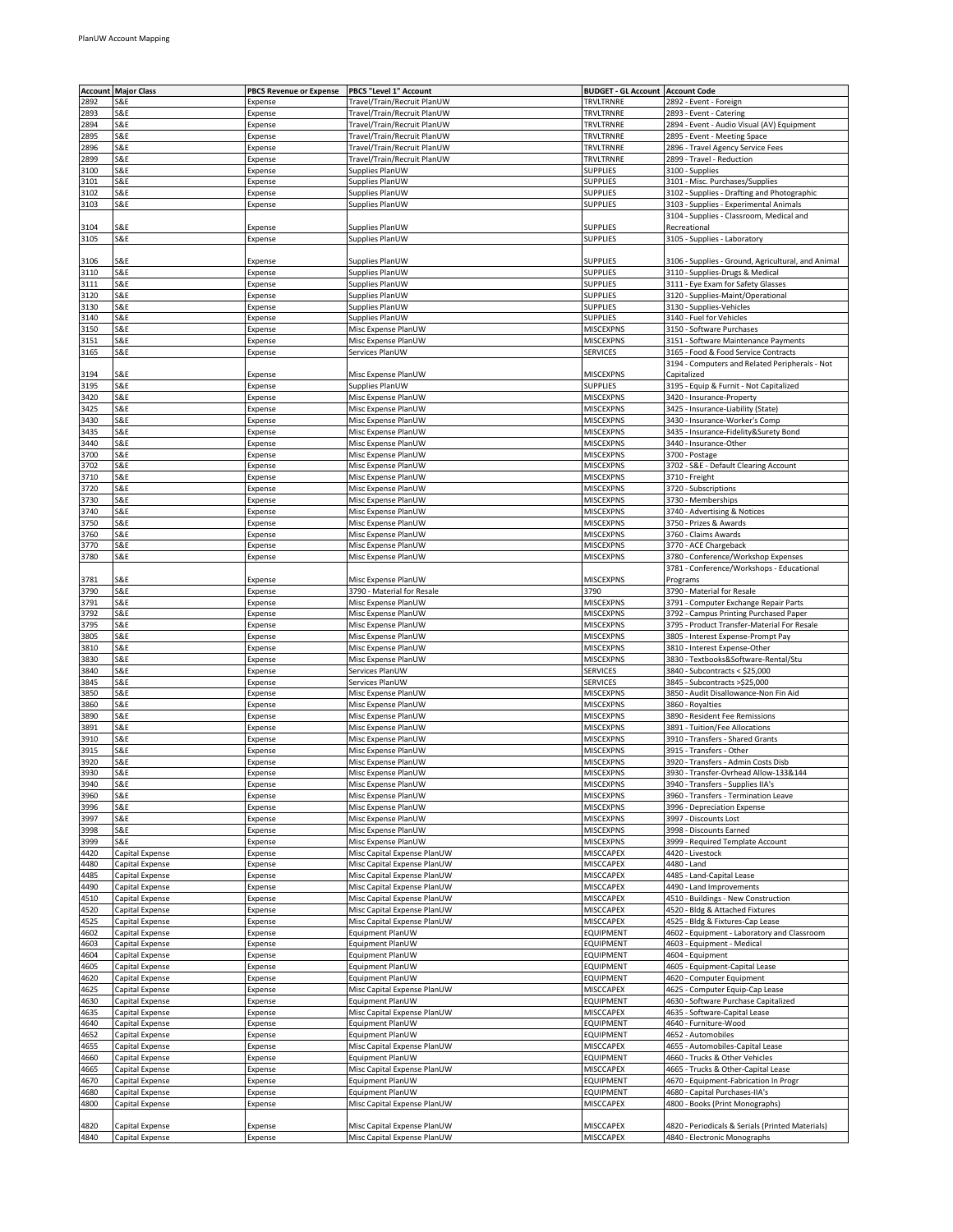|      | <b>Account Major Class</b> | <b>PBCS Revenue or Expense</b> | PBCS "Level 1" Account      | <b>BUDGET - GL Account   Account Code</b> |                                                    |
|------|----------------------------|--------------------------------|-----------------------------|-------------------------------------------|----------------------------------------------------|
| 2892 | S&E                        | Expense                        | Travel/Train/Recruit PlanUW | TRVLTRNRE                                 | 2892 - Event - Foreign                             |
|      |                            |                                |                             |                                           |                                                    |
| 2893 | S&E                        | Expense                        | Travel/Train/Recruit PlanUW | TRVLTRNRE                                 | 2893 - Event - Catering                            |
| 2894 | S&E                        | Expense                        | Travel/Train/Recruit PlanUW | TRVLTRNRE                                 | 2894 - Event - Audio Visual (AV) Equipment         |
| 2895 | S&E                        | Expense                        | Travel/Train/Recruit PlanUW | TRVLTRNRE                                 | 2895 - Event - Meeting Space                       |
| 2896 | S&E                        | Expense                        | Travel/Train/Recruit PlanUW | TRVLTRNRE                                 | 2896 - Travel Agency Service Fees                  |
| 2899 | S&E                        | Expense                        | Travel/Train/Recruit PlanUW | TRVLTRNRE                                 | 2899 - Travel - Reduction                          |
| 3100 | S&E                        | Expense                        | Supplies PlanUW             | <b>SUPPLIES</b>                           | 3100 - Supplies                                    |
| 3101 | S&E                        | Expense                        | Supplies PlanUW             | <b>SUPPLIES</b>                           | 3101 - Misc. Purchases/Supplies                    |
| 3102 | S&E                        | Expense                        | Supplies PlanUW             | <b>SUPPLIES</b>                           | 3102 - Supplies - Drafting and Photographic        |
|      |                            |                                |                             |                                           |                                                    |
| 3103 | S&E                        | Expense                        | Supplies PlanUW             | <b>SUPPLIES</b>                           | 3103 - Supplies - Experimental Animals             |
|      |                            |                                |                             |                                           | 3104 - Supplies - Classroom, Medical and           |
| 3104 | S&E                        | Expense                        | Supplies PlanUW             | <b>SUPPLIES</b>                           | Recreational                                       |
| 3105 | S&E                        | Expense                        | Supplies PlanUW             | <b>SUPPLIES</b>                           | 3105 - Supplies - Laboratory                       |
|      |                            |                                |                             |                                           |                                                    |
| 3106 | S&E                        | Expense                        | Supplies PlanUW             | <b>SUPPLIES</b>                           | 3106 - Supplies - Ground, Agricultural, and Animal |
| 3110 | S&E                        | Expense                        | Supplies PlanUW             | <b>SUPPLIES</b>                           | 3110 - Supplies-Drugs & Medical                    |
| 3111 | S&E                        | Expense                        | Supplies PlanUW             | <b>SUPPLIES</b>                           | 3111 - Eye Exam for Safety Glasses                 |
| 3120 | S&E                        | Expense                        | Supplies PlanUW             | <b>SUPPLIES</b>                           | 3120 - Supplies-Maint/Operational                  |
| 3130 | S&E                        | Expense                        | Supplies PlanUW             | <b>SUPPLIES</b>                           | 3130 - Supplies-Vehicles                           |
|      | S&E                        |                                |                             |                                           |                                                    |
| 3140 |                            | Expense                        | Supplies PlanUW             | <b>SUPPLIES</b>                           | 3140 - Fuel for Vehicles                           |
| 3150 | S&E                        | Expense                        | Misc Expense PlanUW         | MISCEXPNS                                 | 3150 - Software Purchases                          |
| 3151 | S&E                        | Expense                        | Misc Expense PlanUW         | MISCEXPNS                                 | 3151 - Software Maintenance Payments               |
| 3165 | S&E                        | Expense                        | Services PlanUW             | SERVICES                                  | 3165 - Food & Food Service Contracts               |
|      |                            |                                |                             |                                           | 3194 - Computers and Related Peripherals - Not     |
| 3194 | S&E                        | Expense                        | Misc Expense PlanUW         | MISCEXPNS                                 | Capitalized                                        |
| 3195 | S&E                        | Expense                        | Supplies PlanUW             | <b>SUPPLIES</b>                           | 3195 - Equip & Furnit - Not Capitalized            |
| 3420 | S&E                        | Expense                        | Misc Expense PlanUW         | MISCEXPNS                                 | 3420 - Insurance-Property                          |
| 3425 | S&E                        | Expense                        | Misc Expense PlanUW         | MISCEXPNS                                 | 3425 - Insurance-Liability (State)                 |
| 3430 | S&E                        | Expense                        | Misc Expense PlanUW         | <b>MISCEXPNS</b>                          | 3430 - Insurance-Worker's Comp                     |
|      |                            |                                |                             |                                           |                                                    |
| 3435 | S&E                        | Expense                        | Misc Expense PlanUW         | MISCEXPNS                                 | 3435 - Insurance-Fidelity&Surety Bond              |
| 3440 | S&E                        | Expense                        | Misc Expense PlanUW         | <b>MISCEXPNS</b>                          | 3440 - Insurance-Other                             |
| 3700 | S&E                        | Expense                        | Misc Expense PlanUW         | <b>MISCEXPNS</b>                          | 3700 - Postage                                     |
| 3702 | S&E                        | Expense                        | Misc Expense PlanUW         | <b>MISCEXPNS</b>                          | 3702 - S&E - Default Clearing Account              |
| 3710 | S&E                        | Expense                        | Misc Expense PlanUW         | MISCEXPNS                                 | 3710 - Freight                                     |
| 3720 | S&E                        | Expense                        | Misc Expense PlanUW         | <b>MISCEXPNS</b>                          | 3720 - Subscriptions                               |
| 3730 | S&E                        | Expense                        | Misc Expense PlanUW         | <b>MISCEXPNS</b>                          | 3730 - Memberships                                 |
| 3740 | S&E                        | Expense                        | Misc Expense PlanUW         | MISCEXPNS                                 | 3740 - Advertising & Notices                       |
|      |                            |                                |                             | <b>MISCEXPNS</b>                          | 3750 - Prizes & Awards                             |
| 3750 | S&E                        | Expense                        | Misc Expense PlanUW         |                                           |                                                    |
| 3760 | S&E                        | Expense                        | Misc Expense PlanUW         | MISCEXPNS                                 | 3760 - Claims Awards                               |
| 3770 | S&E                        | Expense                        | Misc Expense PlanUW         | <b>MISCEXPNS</b>                          | 3770 - ACE Chargeback                              |
| 3780 | S&E                        | Expense                        | Misc Expense PlanUW         | MISCEXPNS                                 | 3780 - Conference/Workshop Expenses                |
|      |                            |                                |                             |                                           | 3781 - Conference/Workshops - Educational          |
| 3781 | S&E                        | Expense                        | Misc Expense PlanUW         | <b>MISCEXPNS</b>                          | Programs                                           |
| 3790 | S&E                        | Expense                        | 3790 - Material for Resale  | 3790                                      | 3790 - Material for Resale                         |
| 3791 | S&E                        | Expense                        | Misc Expense PlanUW         | <b>MISCEXPNS</b>                          | 3791 - Computer Exchange Repair Parts              |
| 3792 | S&E                        |                                | Misc Expense PlanUW         | MISCEXPNS                                 |                                                    |
|      |                            | Expense                        |                             |                                           | 3792 - Campus Printing Purchased Paper             |
| 3795 | S&E                        | Expense                        | Misc Expense PlanUW         | MISCEXPNS                                 | 3795 - Product Transfer-Material For Resale        |
| 3805 | S&E                        | Expense                        | Misc Expense PlanUW         | <b>MISCEXPNS</b>                          | 3805 - Interest Expense-Prompt Pay                 |
| 3810 | S&E                        | Expense                        | Misc Expense PlanUW         | <b>MISCEXPNS</b>                          | 3810 - Interest Expense-Other                      |
| 3830 | S&E                        | Expense                        | Misc Expense PlanUW         | MISCEXPNS                                 | 3830 - Textbooks&Software-Rental/Stu               |
| 3840 | S&E                        | Expense                        | Services PlanUW             | SERVICES                                  | 3840 - Subcontracts < \$25,000                     |
| 3845 | S&E                        | Expense                        | Services PlanUW             | SERVICES                                  | 3845 - Subcontracts >\$25,000                      |
| 3850 | S&E                        | Expense                        | Misc Expense PlanUW         | MISCEXPNS                                 | 3850 - Audit Disallowance-Non Fin Aid              |
| 3860 | S&E                        | Expense                        | Misc Expense PlanUW         | MISCEXPNS                                 | 3860 - Royalties                                   |
|      |                            |                                |                             |                                           | 3890 - Resident Fee Remissions                     |
| 3890 | S&E                        | Expense                        | Misc Expense PlanUW         | MISCEXPNS                                 |                                                    |
| 3891 | S&E                        | Expense                        | Misc Expense PlanUW         | MISCEXPNS                                 | 3891 - Tuition/Fee Allocations                     |
| 3910 | S&E                        | Expense                        | Misc Expense PlanUW         | <b>MISCEXPNS</b>                          | 3910 - Transfers - Shared Grants                   |
| 3915 | S&E                        | Expense                        | Misc Expense PlanUW         | <b>MISCEXPNS</b>                          | 3915 - Transfers - Other                           |
| 3920 | S&E                        | Expense                        | Misc Expense PlanUW         | <b>MISCEXPNS</b>                          | 3920 - Transfers - Admin Costs Disb                |
| 3930 | S&E                        | Expense                        | Misc Expense PlanUW         | <b>MISCEXPNS</b>                          | 3930 - Transfer-Ovrhead Allow-133&144              |
| 3940 | S&E                        | Expense                        | Misc Expense PlanUW         | MISCEXPNS                                 | 3940 - Transfers - Supplies IIA's                  |
| 3960 | S&E                        | Expense                        | Misc Expense PlanUW         | MISCEXPNS                                 | 3960 - Transfers - Termination Leave               |
| 3996 | S&E                        |                                | Misc Expense PlanUW         | MISCEXPNS                                 | 3996 - Depreciation Expense                        |
| 3997 | S&E                        | Expense<br>Expense             | Misc Expense PlanUW         | MISCEXPNS                                 | 3997 - Discounts Lost                              |
|      |                            |                                |                             |                                           |                                                    |
| 3998 | S&E                        | Expense                        | Misc Expense PlanUW         | MISCEXPNS                                 | 3998 - Discounts Earned                            |
| 3999 | S&E                        | Expense                        | Misc Expense PlanUW         | <b>MISCEXPNS</b>                          | 3999 - Required Template Account                   |
| 4420 | Capital Expense            | Expense                        | Misc Capital Expense PlanUW | <b>MISCCAPEX</b>                          | 4420 - Livestock                                   |
| 4480 | Capital Expense            | Expense                        | Misc Capital Expense PlanUW | MISCCAPEX                                 | 4480 - Land                                        |
| 4485 | Capital Expense            | Expense                        | Misc Capital Expense PlanUW | MISCCAPEX                                 | 4485 - Land-Capital Lease                          |
| 4490 | Capital Expense            | Expense                        | Misc Capital Expense PlanUW | MISCCAPEX                                 | 4490 - Land Improvements                           |
| 4510 | Capital Expense            | Expense                        | Misc Capital Expense PlanUW | <b>MISCCAPEX</b>                          | 4510 - Buildings - New Construction                |
| 4520 | Capital Expense            | Expense                        | Misc Capital Expense PlanUW | <b>MISCCAPEX</b>                          | 4520 - Bldg & Attached Fixtures                    |
| 4525 | Capital Expense            | Expense                        | Misc Capital Expense PlanUW | MISCCAPEX                                 | 4525 - Bldg & Fixtures-Cap Lease                   |
|      |                            |                                |                             |                                           |                                                    |
| 4602 | Capital Expense            | Expense                        | Equipment PlanUW            | EQUIPMENT                                 | 4602 - Equipment - Laboratory and Classroom        |
| 4603 | Capital Expense            | Expense                        | Equipment PlanUW            | EQUIPMENT                                 | 4603 - Equipment - Medical                         |
| 4604 | Capital Expense            | Expense                        | Equipment PlanUW            | EQUIPMENT                                 | 4604 - Equipment                                   |
| 4605 | Capital Expense            | Expense                        | Equipment PlanUW            | EQUIPMENT                                 | 4605 - Equipment-Capital Lease                     |
| 4620 | Capital Expense            | Expense                        | Equipment PlanUW            | EQUIPMENT                                 | 4620 - Computer Equipment                          |
| 4625 | Capital Expense            | Expense                        | Misc Capital Expense PlanUW | MISCCAPEX                                 | 4625 - Computer Equip-Cap Lease                    |
| 4630 | Capital Expense            | Expense                        | Equipment PlanUW            | EQUIPMENT                                 | 4630 - Software Purchase Capitalized               |
| 4635 | Capital Expense            | Expense                        | Misc Capital Expense PlanUW | <b>MISCCAPEX</b>                          | 4635 - Software-Capital Lease                      |
| 4640 | Capital Expense            | Expense                        | Equipment PlanUW            | EQUIPMENT                                 | 4640 - Furniture-Wood                              |
| 4652 |                            |                                |                             |                                           | 4652 - Automobiles                                 |
|      | Capital Expense            | Expense                        | Equipment PlanUW            | EQUIPMENT                                 |                                                    |
| 4655 | Capital Expense            | Expense                        | Misc Capital Expense PlanUW | MISCCAPEX                                 | 4655 - Automobiles-Capital Lease                   |
| 4660 | Capital Expense            | Expense                        | Equipment PlanUW            | EQUIPMENT                                 | 4660 - Trucks & Other Vehicles                     |
| 4665 | Capital Expense            | Expense                        | Misc Capital Expense PlanUW | MISCCAPEX                                 | 4665 - Trucks & Other-Capital Lease                |
| 4670 | Capital Expense            | Expense                        | Equipment PlanUW            | EQUIPMENT                                 | 4670 - Equipment-Fabrication In Progr              |
| 4680 | Capital Expense            | Expense                        | Equipment PlanUW            | EQUIPMENT                                 | 4680 - Capital Purchases-IIA's                     |
| 4800 | Capital Expense            | Expense                        | Misc Capital Expense PlanUW | MISCCAPEX                                 | 4800 - Books (Print Monographs)                    |
|      |                            |                                |                             |                                           |                                                    |
|      |                            |                                |                             | MISCCAPEX                                 | 4820 - Periodicals & Serials (Printed Materials)   |
| 4820 | Capital Expense            | Expense                        | Misc Capital Expense PlanUW |                                           |                                                    |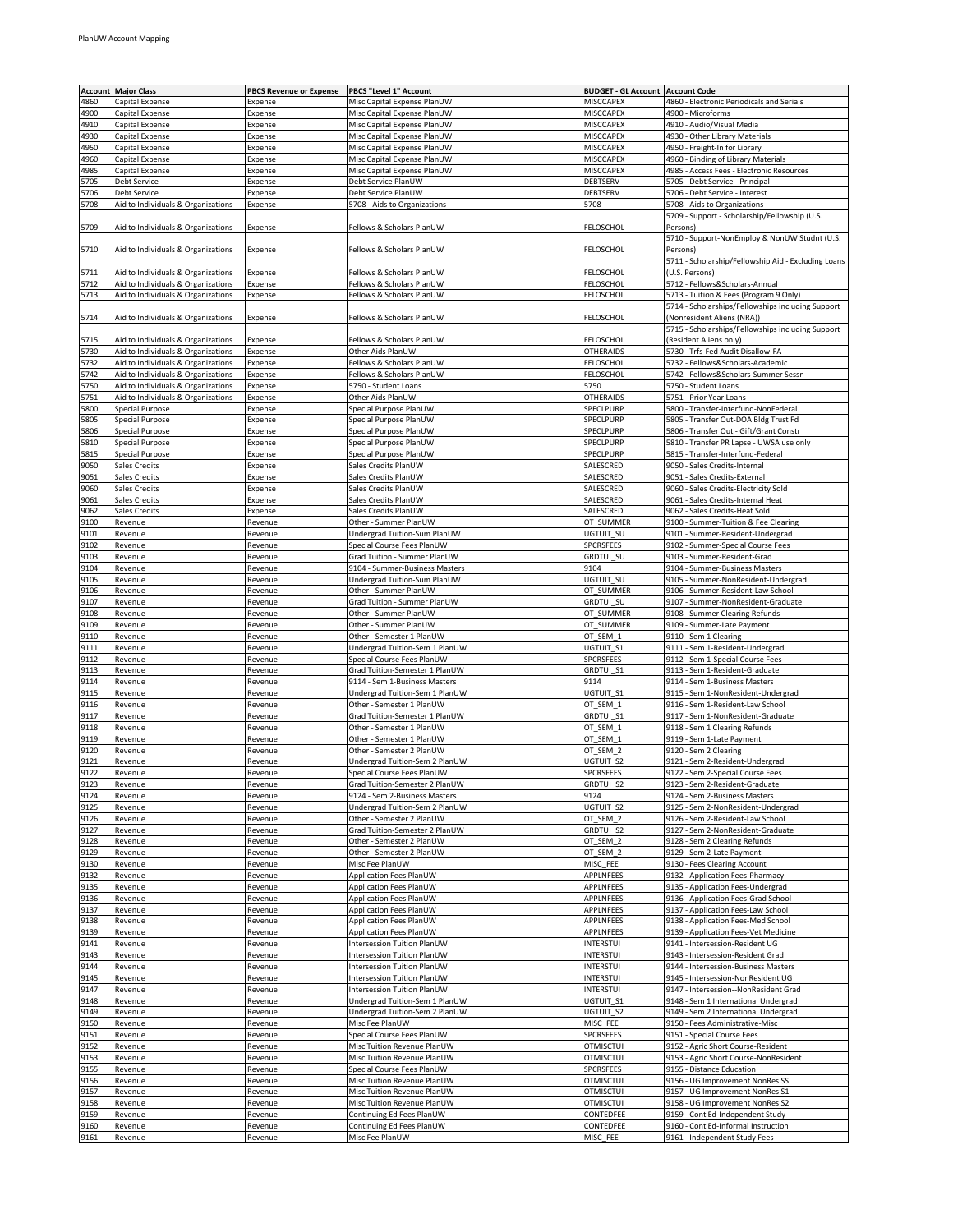| Account | <b>Major Class</b>                 | <b>PBCS Revenue or Expense</b> | PBCS "Level 1" Account         | <b>BUDGET - GL Account Account Code</b><br>MISCCAPEX |                                                     |
|---------|------------------------------------|--------------------------------|--------------------------------|------------------------------------------------------|-----------------------------------------------------|
| 4860    | Capital Expense                    | Expense                        | Misc Capital Expense PlanUW    |                                                      | 4860 - Electronic Periodicals and Serials           |
| 4900    | Capital Expense                    | Expense                        | Misc Capital Expense PlanUW    | MISCCAPEX                                            | 4900 - Microforms                                   |
| 4910    | Capital Expense                    | Expense                        | Misc Capital Expense PlanUW    | <b>MISCCAPEX</b>                                     | 4910 - Audio/Visual Media                           |
| 4930    | Capital Expense                    | Expense                        | Misc Capital Expense PlanUW    | MISCCAPEX                                            | 4930 - Other Library Materials                      |
| 4950    | Capital Expense                    | Expense                        | Misc Capital Expense PlanUW    | <b>MISCCAPEX</b>                                     | 4950 - Freight-In for Library                       |
| 4960    | Capital Expense                    | Expense                        | Misc Capital Expense PlanUW    | MISCCAPEX                                            | 4960 - Binding of Library Materials                 |
| 4985    | Capital Expense                    | Expense                        | Misc Capital Expense PlanUW    | MISCCAPEX                                            | 4985 - Access Fees - Electronic Resources           |
| 5705    | Debt Service                       | Expense                        | Debt Service PlanUW            | DEBTSERV                                             | 5705 - Debt Service - Principal                     |
| 5706    | <b>Debt Service</b>                | Expense                        | Debt Service PlanUW            | DEBTSERV                                             | 5706 - Debt Service - Interest                      |
| 5708    | Aid to Individuals & Organizations | Expense                        | 5708 - Aids to Organizations   | 5708                                                 | 5708 - Aids to Organizations                        |
|         |                                    |                                |                                |                                                      | 5709 - Support - Scholarship/Fellowship (U.S.       |
| 5709    | Aid to Individuals & Organizations | Expense                        | Fellows & Scholars PlanUW      | FELOSCHOL                                            | Persons)                                            |
|         |                                    |                                |                                |                                                      | 5710 - Support-NonEmploy & NonUW Studnt (U.S.       |
| 5710    | Aid to Individuals & Organizations | Expense                        | Fellows & Scholars PlanUW      | FELOSCHOL                                            | Persons)                                            |
|         |                                    |                                |                                |                                                      | 5711 - Scholarship/Fellowship Aid - Excluding Loans |
| 5711    | Aid to Individuals & Organizations | Expense                        | Fellows & Scholars PlanUW      | FELOSCHOL                                            | (U.S. Persons)                                      |
| 5712    | Aid to Individuals & Organizations | Expense                        | Fellows & Scholars PlanUW      | FELOSCHOL                                            | 5712 - Fellows&Scholars-Annual                      |
| 5713    | Aid to Individuals & Organizations | Expense                        | Fellows & Scholars PlanUW      | FELOSCHOL                                            | 5713 - Tuition & Fees (Program 9 Only)              |
|         |                                    |                                |                                |                                                      | 5714 - Scholarships/Fellowships including Support   |
| 5714    | Aid to Individuals & Organizations | Expense                        | Fellows & Scholars PlanUW      | FELOSCHOL                                            | (Nonresident Aliens (NRA))                          |
|         |                                    |                                |                                |                                                      | 5715 - Scholarships/Fellowships including Support   |
|         |                                    |                                |                                |                                                      |                                                     |
| 5715    | Aid to Individuals & Organizations | Expense                        | Fellows & Scholars PlanUW      | FELOSCHOL                                            | (Resident Aliens only)                              |
| 5730    | Aid to Individuals & Organizations | Expense                        | Other Aids PlanUW              | <b>OTHERAIDS</b>                                     | 5730 - Trfs-Fed Audit Disallow-FA                   |
| 5732    | Aid to Individuals & Organizations | Expense                        | Fellows & Scholars PlanUW      | FELOSCHOL                                            | 5732 - Fellows&Scholars-Academic                    |
| 5742    | Aid to Individuals & Organizations | Expense                        | Fellows & Scholars PlanUW      | FELOSCHOL                                            | 5742 - Fellows&Scholars-Summer Sessn                |
| 5750    | Aid to Individuals & Organizations | Expense                        | 5750 - Student Loans           | 5750                                                 | 5750 - Student Loans                                |
| 5751    | Aid to Individuals & Organizations | Expense                        | Other Aids PlanUW              | OTHERAIDS                                            | 5751 - Prior Year Loans                             |
| 5800    | Special Purpose                    | Expense                        | Special Purpose PlanUW         | SPECLPURP                                            | 5800 - Transfer-Interfund-NonFederal                |
| 5805    | Special Purpose                    | Expense                        | Special Purpose PlanUW         | SPECLPURP                                            | 5805 - Transfer Out-DOA Bldg Trust Fd               |
| 5806    | Special Purpose                    | Expense                        | Special Purpose PlanUW         | SPECLPURP                                            | 5806 - Transfer Out - Gift/Grant Constr             |
| 5810    | <b>Special Purpose</b>             | Expense                        | Special Purpose PlanUW         | SPECLPURP                                            | 5810 - Transfer PR Lapse - UWSA use only            |
| 5815    | <b>Special Purpose</b>             | Expense                        | Special Purpose PlanUW         | SPECLPURP                                            | 5815 - Transfer-Interfund-Federal                   |
| 9050    | Sales Credits                      | Expense                        | Sales Credits PlanUW           | SALESCRED                                            | 9050 - Sales Credits-Internal                       |
| 9051    | Sales Credits                      | Expense                        | Sales Credits PlanUW           | SALESCRED                                            | 9051 - Sales Credits-External                       |
| 9060    | Sales Credits                      | Expense                        | Sales Credits PlanUW           | SALESCRED                                            | 9060 - Sales Credits-Electricity Sold               |
| 9061    | Sales Credits                      | Expense                        | Sales Credits PlanUW           | SALESCRED                                            | 9061 - Sales Credits-Internal Heat                  |
| 9062    | Sales Credits                      | Expense                        | Sales Credits PlanUW           | SALESCRED                                            | 9062 - Sales Credits-Heat Sold                      |
| 9100    | Revenue                            | Revenue                        | Other - Summer PlanUW          | OT_SUMMER                                            | 9100 - Summer-Tuition & Fee Clearing                |
| 9101    |                                    |                                | Undergrad Tuition-Sum PlanUW   |                                                      | 9101 - Summer-Resident-Undergrad                    |
|         | Revenue                            | Revenue                        |                                | UGTUIT_SU                                            |                                                     |
| 9102    | Revenue                            | Revenue                        | Special Course Fees PlanUW     | SPCRSFEES                                            | 9102 - Summer-Special Course Fees                   |
| 9103    | Revenue                            | Revenue                        | Grad Tuition - Summer PlanUW   | GRDTUI_SU                                            | 9103 - Summer-Resident-Grad                         |
| 9104    | Revenue                            | Revenue                        | 9104 - Summer-Business Masters | 9104                                                 | 9104 - Summer-Business Masters                      |
| 9105    | Revenue                            | Revenue                        | Undergrad Tuition-Sum PlanUW   | UGTUIT_SU                                            | 9105 - Summer-NonResident-Undergrad                 |
| 9106    | Revenue                            | Revenue                        | Other - Summer PlanUW          | OT_SUMMER                                            | 9106 - Summer-Resident-Law School                   |
| 9107    | Revenue                            | Revenue                        | Grad Tuition - Summer PlanUW   | GRDTUI_SU                                            | 9107 - Summer-NonResident-Graduate                  |
| 9108    | Revenue                            | Revenue                        | Other - Summer PlanUW          | OT_SUMMER                                            | 9108 - Summer Clearing Refunds                      |
| 9109    | Revenue                            | Revenue                        | Other - Summer PlanUW          | OT_SUMMER                                            | 9109 - Summer-Late Payment                          |
| 9110    | Revenue                            | Revenue                        | Other - Semester 1 PlanUW      | OT_SEM_1                                             | 9110 - Sem 1 Clearing                               |
| 9111    | Revenue                            | Revenue                        | Undergrad Tuition-Sem 1 PlanUW | UGTUIT_S1                                            | 9111 - Sem 1-Resident-Undergrad                     |
| 9112    | Revenue                            | Revenue                        | Special Course Fees PlanUW     | SPCRSFEES                                            | 9112 - Sem 1-Special Course Fees                    |
| 9113    | Revenue                            | Revenue                        | Grad Tuition-Semester 1 PlanUW | GRDTUI_S1                                            | 9113 - Sem 1-Resident-Graduate                      |
| 9114    | Revenue                            | Revenue                        | 9114 - Sem 1-Business Masters  | 9114                                                 | 9114 - Sem 1-Business Masters                       |
| 9115    | Revenue                            | Revenue                        | Undergrad Tuition-Sem 1 PlanUW | UGTUIT S1                                            | 9115 - Sem 1-NonResident-Undergrad                  |
| 9116    | Revenue                            | Revenue                        | Other - Semester 1 PlanUW      | OT_SEM_1                                             | 9116 - Sem 1-Resident-Law School                    |
| 9117    | Revenue                            | Revenue                        | Grad Tuition-Semester 1 PlanUW | GRDTUI_S1                                            | 9117 - Sem 1-NonResident-Graduate                   |
| 9118    | Revenue                            | Revenue                        | Other - Semester 1 PlanUW      | OT_SEM_1                                             | 9118 - Sem 1 Clearing Refunds                       |
| 9119    | Revenue                            | Revenue                        | Other - Semester 1 PlanUW      | OT_SEM_1                                             | 9119 - Sem 1-Late Payment                           |
| 9120    |                                    | Revenue                        | Other - Semester 2 PlanUW      | OT SEM 2                                             | 9120 - Sem 2 Clearing                               |
| 9121    | Revenue<br>Revenue                 | Revenue                        | Undergrad Tuition-Sem 2 PlanUW | UGTUIT S2                                            | 9121 - Sem 2-Resident-Undergrad                     |
| 9122    | Revenue                            | Revenue                        | Special Course Fees PlanUW     | <b>SPCRSFEES</b>                                     |                                                     |
|         |                                    |                                |                                |                                                      | 9122 - Sem 2-Special Course Fees                    |
| 9123    | Revenue                            | Revenue                        | Grad Tuition-Semester 2 PlanUW | GRDTUI_S2                                            | 9123 - Sem 2-Resident-Graduate                      |
| 9124    | Revenue                            | Revenue                        | 9124 - Sem 2-Business Masters  | 9124                                                 | 9124 - Sem 2-Business Masters                       |
| 9125    | Revenue                            | Revenue                        | Undergrad Tuition-Sem 2 PlanUW | UGTUIT S2                                            | 9125 - Sem 2-NonResident-Undergrad                  |
| 9126    | Revenue                            | Revenue                        | Other - Semester 2 PlanUW      | OT_SEM_2                                             | 9126 - Sem 2-Resident-Law School                    |
| 9127    | Revenue                            | Revenue                        | Grad Tuition-Semester 2 PlanUW | GRDTUI_S2                                            | 9127 - Sem 2-NonResident-Graduate                   |
| 9128    | Revenue                            | Revenue                        | Other - Semester 2 PlanUW      | OT_SEM_2                                             | 9128 - Sem 2 Clearing Refunds                       |
| 9129    | Revenue                            | Revenue                        | Other - Semester 2 PlanUW      | OT_SEM_2                                             | 9129 - Sem 2-Late Payment                           |
| 9130    | Revenue                            | Revenue                        | Misc Fee PlanUW                | MISC_FEE                                             | 9130 - Fees Clearing Account                        |
| 9132    | Revenue                            | Revenue                        | Application Fees PlanUW        | APPLNFEES                                            | 9132 - Application Fees-Pharmacy                    |
| 9135    | Revenue                            | Revenue                        | Application Fees PlanUW        | APPLNFEES                                            | 9135 - Application Fees-Undergrad                   |
| 9136    | Revenue                            | Revenue                        | Application Fees PlanUW        | APPLNFEES                                            | 9136 - Application Fees-Grad School                 |
| 9137    | Revenue                            | Revenue                        | Application Fees PlanUW        | APPLNFEES                                            | 9137 - Application Fees-Law School                  |
| 9138    | Revenue                            | Revenue                        | Application Fees PlanUW        | APPLNFEES                                            | 9138 - Application Fees-Med School                  |
| 9139    | Revenue                            | Revenue                        | Application Fees PlanUW        | APPLNFEES                                            | 9139 - Application Fees-Vet Medicine                |
| 9141    | Revenue                            | Revenue                        | Intersession Tuition PlanUW    | INTERSTUI                                            | 9141 - Intersession-Resident UG                     |
| 9143    | Revenue                            | Revenue                        | Intersession Tuition PlanUW    | INTERSTUI                                            | 9143 - Intersession-Resident Grad                   |
| 9144    | Revenue                            | Revenue                        | Intersession Tuition PlanUW    | INTERSTUI                                            | 9144 - Intersession-Business Masters                |
| 9145    | Revenue                            | Revenue                        | Intersession Tuition PlanUW    | INTERSTUI                                            | 9145 - Intersession-NonResident UG                  |
| 9147    | Revenue                            | Revenue                        | Intersession Tuition PlanUW    | INTERSTUI                                            | 9147 - Intersession--NonResident Grad               |
| 9148    | Revenue                            | Revenue                        | Undergrad Tuition-Sem 1 PlanUW | UGTUIT_S1                                            | 9148 - Sem 1 International Undergrad                |
|         |                                    |                                |                                |                                                      |                                                     |
| 9149    | Revenue                            | Revenue                        | Undergrad Tuition-Sem 2 PlanUW | UGTUIT_S2                                            | 9149 - Sem 2 International Undergrad                |
| 9150    | Revenue                            | Revenue                        | Misc Fee PlanUW                | MISC_FEE                                             | 9150 - Fees Administrative-Misc                     |
| 9151    | Revenue                            | Revenue                        | Special Course Fees PlanUW     | SPCRSFEES                                            | 9151 - Special Course Fees                          |
| 9152    | Revenue                            | Revenue                        | Misc Tuition Revenue PlanUW    | <b>OTMISCTUI</b>                                     | 9152 - Agric Short Course-Resident                  |
| 9153    | Revenue                            | Revenue                        | Misc Tuition Revenue PlanUW    | <b>OTMISCTUI</b>                                     | 9153 - Agric Short Course-NonResident               |
| 9155    | Revenue                            | Revenue                        | Special Course Fees PlanUW     | SPCRSFEES                                            | 9155 - Distance Education                           |
| 9156    | Revenue                            | Revenue                        | Misc Tuition Revenue PlanUW    | <b>OTMISCTUI</b>                                     | 9156 - UG Improvement NonRes SS                     |
| 9157    | Revenue                            | Revenue                        | Misc Tuition Revenue PlanUW    | otmisctui                                            | 9157 - UG Improvement NonRes S1                     |
| 9158    | Revenue                            | Revenue                        | Misc Tuition Revenue PlanUW    | <b>OTMISCTUI</b>                                     | 9158 - UG Improvement NonRes S2                     |
| 9159    | Revenue                            | Revenue                        | Continuing Ed Fees PlanUW      | CONTEDFEE                                            | 9159 - Cont Ed-Independent Study                    |
| 9160    | Revenue                            | Revenue                        | Continuing Ed Fees PlanUW      | CONTEDFEE                                            | 9160 - Cont Ed-Informal Instruction                 |
| 9161    | Revenue                            | Revenue                        | Misc Fee PlanUW                | MISC_FEE                                             | 9161 - Independent Study Fees                       |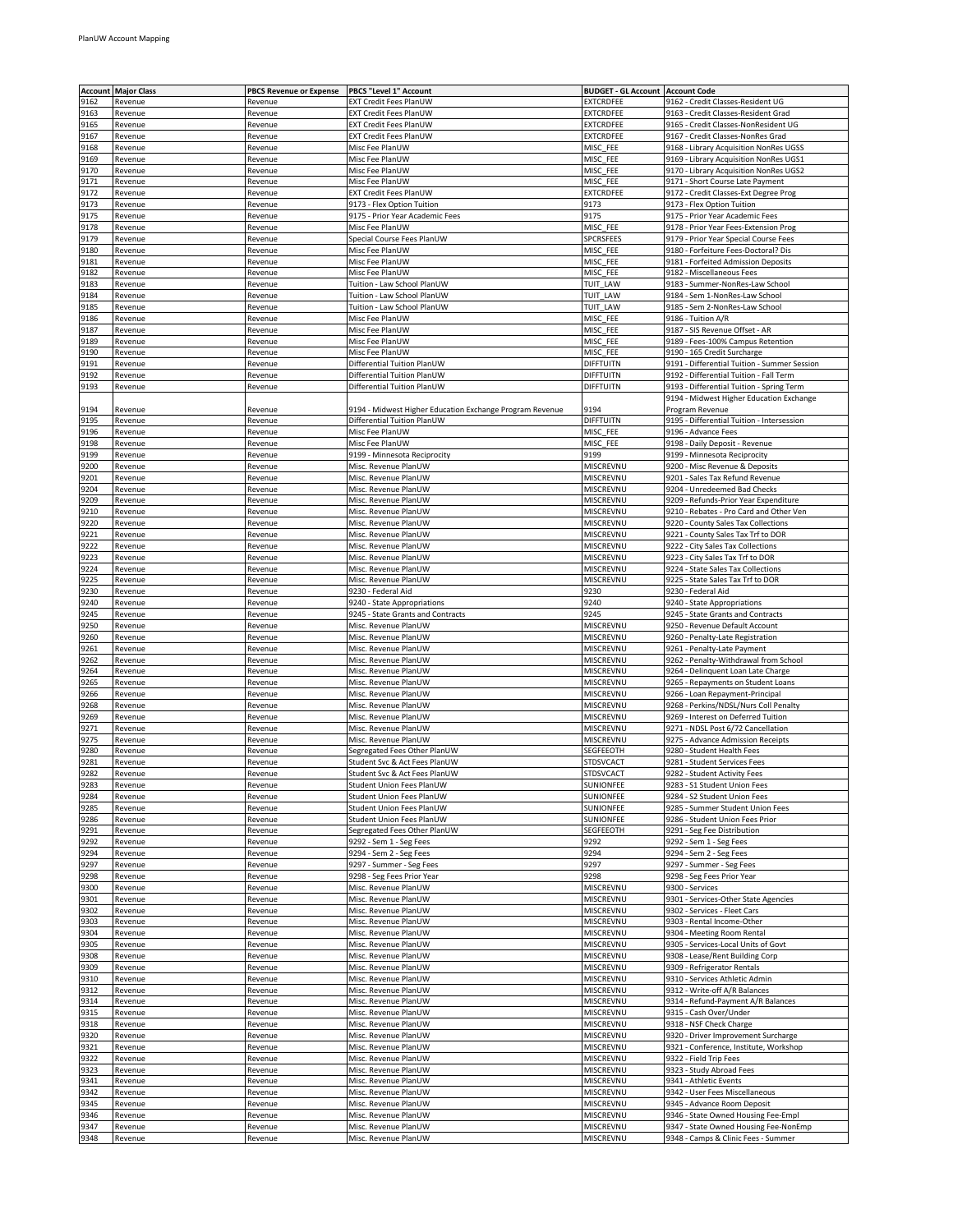|      | <b>Account Major Class</b> | <b>PBCS Revenue or Expense</b> | PBCS "Level 1" Account                                     | <b>BUDGET - GL Account   Account Code</b> |                                              |
|------|----------------------------|--------------------------------|------------------------------------------------------------|-------------------------------------------|----------------------------------------------|
| 9162 | Revenue                    | Revenue                        | EXT Credit Fees PlanUW                                     | EXTCRDFEE                                 | 9162 - Credit Classes-Resident UG            |
| 9163 | Revenue                    | Revenue                        | EXT Credit Fees PlanUW                                     | EXTCRDFEE                                 | 9163 - Credit Classes-Resident Grad          |
| 9165 | Revenue                    | Revenue                        | EXT Credit Fees PlanUW                                     | <b>EXTCRDFEE</b>                          | 9165 - Credit Classes-NonResident UG         |
| 9167 | Revenue                    | Revenue                        | EXT Credit Fees PlanUW                                     | EXTCRDFEE                                 | 9167 - Credit Classes-NonRes Grad            |
| 9168 | Revenue                    | Revenue                        | Misc Fee PlanUW                                            | MISC_FEE                                  | 9168 - Library Acquisition NonRes UGSS       |
| 9169 | Revenue                    | Revenue                        | Misc Fee PlanUW                                            | MISC_FEE                                  | 9169 - Library Acquisition NonRes UGS1       |
| 9170 | Revenue                    | Revenue                        | Misc Fee PlanUW                                            | MISC_FEE                                  | 9170 - Library Acquisition NonRes UGS2       |
| 9171 | Revenue                    | Revenue                        | Misc Fee PlanUW                                            | MISC_FEE                                  | 9171 - Short Course Late Payment             |
| 9172 | Revenue                    | Revenue                        | EXT Credit Fees PlanUW                                     | <b>EXTCRDFEE</b>                          | 9172 - Credit Classes-Ext Degree Prog        |
| 9173 | Revenue                    | Revenue                        | 9173 - Flex Option Tuition                                 | 9173                                      | 9173 - Flex Option Tuition                   |
| 9175 | Revenue                    | Revenue                        | 9175 - Prior Year Academic Fees                            | 9175                                      | 9175 - Prior Year Academic Fees              |
| 9178 | Revenue                    | Revenue                        | Misc Fee PlanUW                                            | MISC_FEE                                  | 9178 - Prior Year Fees-Extension Prog        |
| 9179 | Revenue                    | Revenue                        | Special Course Fees PlanUW                                 | SPCRSFEES                                 | 9179 - Prior Year Special Course Fees        |
| 9180 | Revenue                    | Revenue                        | Misc Fee PlanUW                                            | MISC_FEE                                  | 9180 - Forfeiture Fees-Doctoral? Dis         |
| 9181 | Revenue                    | Revenue                        | Misc Fee PlanUW                                            | MISC_FEE                                  | 9181 - Forfeited Admission Deposits          |
| 9182 | Revenue                    | Revenue                        | Misc Fee PlanUW                                            | MISC_FEE                                  | 9182 - Miscellaneous Fees                    |
| 9183 | Revenue                    | Revenue                        |                                                            | TUIT LAW                                  | 9183 - Summer-NonRes-Law School              |
| 9184 | Revenue                    | Revenue                        | Tuition - Law School PlanUW<br>Tuition - Law School PlanUW | TUIT LAW                                  | 9184 - Sem 1-NonRes-Law School               |
|      |                            |                                |                                                            |                                           |                                              |
| 9185 | Revenue                    | Revenue                        | Tuition - Law School PlanUW                                | TUIT_LAW                                  | 9185 - Sem 2-NonRes-Law School               |
| 9186 | Revenue                    | Revenue                        | Misc Fee PlanUW                                            | MISC_FEE                                  | 9186 - Tuition A/R                           |
| 9187 | Revenue                    | Revenue                        | Misc Fee PlanUW                                            | MISC_FEE                                  | 9187 - SIS Revenue Offset - AR               |
| 9189 | Revenue                    | Revenue                        | Misc Fee PlanUW                                            | MISC_FEE                                  | 9189 - Fees-100% Campus Retention            |
| 9190 | Revenue                    | Revenue                        | Misc Fee PlanUW                                            | MISC_FEE                                  | 9190 - 165 Credit Surcharge                  |
| 9191 | Revenue                    | Revenue                        | Differential Tuition PlanUW                                | DIFFTUITN                                 | 9191 - Differential Tuition - Summer Session |
| 9192 | Revenue                    | Revenue                        | Differential Tuition PlanUW                                | DIFFTUITN                                 | 9192 - Differential Tuition - Fall Term      |
| 9193 | Revenue                    | Revenue                        | Differential Tuition PlanUW                                | DIFFTUITN                                 | 9193 - Differential Tuition - Spring Term    |
|      |                            |                                |                                                            |                                           | 9194 - Midwest Higher Education Exchange     |
| 9194 | Revenue                    | Revenue                        | 9194 - Midwest Higher Education Exchange Program Revenue   | 9194                                      | Program Revenue                              |
| 9195 | Revenue                    | Revenue                        | Differential Tuition PlanUW                                | DIFFTUITN                                 | 9195 - Differential Tuition - Intersession   |
| 9196 | Revenue                    | Revenue                        | Misc Fee PlanUW                                            | MISC_FEE                                  | 9196 - Advance Fees                          |
| 9198 | Revenue                    | Revenue                        | Misc Fee PlanUW                                            | MISC FEE                                  | 9198 - Daily Deposit - Revenue               |
| 9199 | Revenue                    | Revenue                        | 9199 - Minnesota Reciprocity                               | 9199                                      | 9199 - Minnesota Reciprocity                 |
| 9200 | Revenue                    | Revenue                        | Misc. Revenue PlanUW                                       | MISCREVNU                                 | 9200 - Misc Revenue & Deposits               |
| 9201 | Revenue                    | Revenue                        | Misc. Revenue PlanUW                                       | MISCREVNU                                 | 9201 - Sales Tax Refund Revenue              |
| 9204 | Revenue                    | Revenue                        | Misc. Revenue PlanUW                                       | MISCREVNU                                 | 9204 - Unredeemed Bad Checks                 |
| 9209 | Revenue                    | Revenue                        | Misc. Revenue PlanUW                                       | MISCREVNU                                 | 9209 - Refunds-Prior Year Expenditure        |
| 9210 | Revenue                    | Revenue                        | Misc. Revenue PlanUW                                       | MISCREVNU                                 | 9210 - Rebates - Pro Card and Other Ven      |
| 9220 | Revenue                    | Revenue                        | Misc. Revenue PlanUW                                       | MISCREVNU                                 | 9220 - County Sales Tax Collections          |
| 9221 | Revenue                    | Revenue                        | Misc. Revenue PlanUW                                       | MISCREVNU                                 | 9221 - County Sales Tax Trf to DOR           |
| 9222 | Revenue                    | Revenue                        | Misc. Revenue PlanUW                                       | MISCREVNU                                 | 9222 - City Sales Tax Collections            |
| 9223 | Revenue                    | Revenue                        | Misc. Revenue PlanUW                                       | MISCREVNU                                 | 9223 - City Sales Tax Trf to DOR             |
| 9224 | Revenue                    | Revenue                        | Misc. Revenue PlanUW                                       | MISCREVNU                                 | 9224 - State Sales Tax Collections           |
| 9225 | Revenue                    | Revenue                        | Misc. Revenue PlanUW                                       | MISCREVNU                                 | 9225 - State Sales Tax Trf to DOR            |
| 9230 |                            |                                |                                                            | 9230                                      |                                              |
| 9240 | Revenue                    | Revenue                        | 9230 - Federal Aid                                         | 9240                                      | 9230 - Federal Aid                           |
|      | Revenue                    | Revenue                        | 9240 - State Appropriations                                |                                           | 9240 - State Appropriations                  |
| 9245 | Revenue                    | Revenue                        | 9245 - State Grants and Contracts                          | 9245                                      | 9245 - State Grants and Contracts            |
| 9250 | Revenue                    | Revenue                        | Misc. Revenue PlanUW                                       | MISCREVNU                                 | 9250 - Revenue Default Account               |
| 9260 | Revenue                    | Revenue                        | Misc. Revenue PlanUW                                       | MISCREVNU                                 | 9260 - Penalty-Late Registration             |
| 9261 | Revenue                    | Revenue                        | Misc. Revenue PlanUW                                       | MISCREVNU                                 | 9261 - Penalty-Late Payment                  |
| 9262 | Revenue                    | Revenue                        | Misc. Revenue PlanUW                                       | MISCREVNU                                 | 9262 - Penalty-Withdrawal from School        |
| 9264 | Revenue                    | Revenue                        | Misc. Revenue PlanUW                                       | MISCREVNU                                 | 9264 - Delinquent Loan Late Charge           |
| 9265 | Revenue                    | Revenue                        | Misc. Revenue PlanUW                                       | MISCREVNU                                 | 9265 - Repayments on Student Loans           |
| 9266 | Revenue                    | Revenue                        | Misc. Revenue PlanUW                                       | MISCREVNU                                 | 9266 - Loan Repayment-Principal              |
| 9268 | Revenue                    | Revenue                        | Misc. Revenue PlanUW                                       | MISCREVNU                                 | 9268 - Perkins/NDSL/Nurs Coll Penalty        |
| 9269 | Revenue                    | Revenue                        | Misc. Revenue PlanUW                                       | MISCREVNU                                 | 9269 - Interest on Deferred Tuition          |
| 9271 | Revenue                    | Revenue                        | Misc. Revenue PlanUW                                       | MISCREVNU                                 | 9271 - NDSL Post 6/72 Cancellation           |
| 9275 | Revenue                    | Revenue                        | Misc. Revenue PlanUW                                       | MISCREVNU                                 | 9275 - Advance Admission Receipts            |
| 9280 | Revenue                    | Revenue                        | Segregated Fees Other PlanUW                               | SEGFEEOTH                                 | 9280 - Student Health Fees                   |
| 9281 | Revenue                    | Revenue                        | Student Svc & Act Fees PlanUW                              | <b>STDSVCACT</b>                          | 9281 - Student Services Fees                 |
| 9282 | Revenue                    | Revenue                        | Student Svc & Act Fees PlanUW                              | <b>STDSVCACT</b>                          | 9282 - Student Activity Fees                 |
| 9283 | Revenue                    | Revenue                        | Student Union Fees PlanUW                                  | SUNIONFEE                                 | 9283 - S1 Student Union Fees                 |
| 9284 | Revenue                    | Revenue                        | Student Union Fees PlanUW                                  | SUNIONFEE                                 | 9284 - S2 Student Union Fees                 |
| 9285 | Revenue                    | Revenue                        | Student Union Fees PlanUW                                  | SUNIONFEE                                 | 9285 - Summer Student Union Fees             |
| 9286 | Revenue                    | Revenue                        | Student Union Fees PlanUW                                  | SUNIONFEE                                 | 9286 - Student Union Fees Prior              |
| 9291 | Revenue                    | Revenue                        | Segregated Fees Other PlanUW                               | SEGFEEOTH                                 | 9291 - Seg Fee Distribution                  |
| 9292 | Revenue                    | Revenue                        | 9292 - Sem 1 - Seg Fees                                    | 9292                                      | 9292 - Sem 1 - Seg Fees                      |
| 9294 | Revenue                    | Revenue                        | 9294 - Sem 2 - Seg Fees                                    | 9294                                      | 9294 - Sem 2 - Seg Fees                      |
| 9297 | Revenue                    | Revenue                        | 9297 - Summer - Seg Fees                                   | 9297                                      | 9297 - Summer - Seg Fees                     |
| 9298 | Revenue                    | Revenue                        | 9298 - Seg Fees Prior Year                                 | 9298                                      | 9298 - Seg Fees Prior Year                   |
| 9300 | Revenue                    | Revenue                        | Misc. Revenue PlanUW                                       | MISCREVNU                                 | 9300 - Services                              |
| 9301 | Revenue                    | Revenue                        | Misc. Revenue PlanUW                                       | MISCREVNU                                 | 9301 - Services-Other State Agencies         |
| 9302 | Revenue                    | Revenue                        | Misc. Revenue PlanUW                                       | MISCREVNU                                 | 9302 - Services - Fleet Cars                 |
| 9303 | Revenue                    | Revenue                        | Misc. Revenue PlanUW                                       | MISCREVNU                                 | 9303 - Rental Income-Other                   |
| 9304 | Revenue                    | Revenue                        | Misc. Revenue PlanUW                                       | MISCREVNU                                 | 9304 - Meeting Room Rental                   |
| 9305 | Revenue                    | Revenue                        | Misc. Revenue PlanUW                                       | MISCREVNU                                 | 9305 - Services-Local Units of Govt          |
| 9308 | Revenue                    | Revenue                        | Misc. Revenue PlanUW                                       | MISCREVNU                                 | 9308 - Lease/Rent Building Corp              |
| 9309 |                            | Revenue                        |                                                            | MISCREVNU                                 | 9309 - Refrigerator Rentals                  |
|      | Revenue                    |                                | Misc. Revenue PlanUW                                       |                                           |                                              |
| 9310 | Revenue                    | Revenue                        | Misc. Revenue PlanUW                                       | MISCREVNU                                 | 9310 - Services Athletic Admin               |
| 9312 | Revenue                    | Revenue                        | Misc. Revenue PlanUW                                       | MISCREVNU                                 | 9312 - Write-off A/R Balances                |
| 9314 | Revenue                    | Revenue                        | Misc. Revenue PlanUW                                       | MISCREVNU                                 | 9314 - Refund-Payment A/R Balances           |
| 9315 | Revenue                    | Revenue                        | Misc. Revenue PlanUW                                       | MISCREVNU                                 | 9315 - Cash Over/Under                       |
| 9318 | Revenue                    | Revenue                        | Misc. Revenue PlanUW                                       | MISCREVNU                                 | 9318 - NSF Check Charge                      |
| 9320 | Revenue                    | Revenue                        | Misc. Revenue PlanUW                                       | MISCREVNU                                 | 9320 - Driver Improvement Surcharge          |
| 9321 | Revenue                    | Revenue                        | Misc. Revenue PlanUW                                       | MISCREVNU                                 | 9321 - Conference, Institute, Workshop       |
| 9322 | Revenue                    | Revenue                        | Misc. Revenue PlanUW                                       | MISCREVNU                                 | 9322 - Field Trip Fees                       |
| 9323 | Revenue                    | Revenue                        | Misc. Revenue PlanUW                                       | MISCREVNU                                 | 9323 - Study Abroad Fees                     |
| 9341 | Revenue                    | Revenue                        | Misc. Revenue PlanUW                                       | MISCREVNU                                 | 9341 - Athletic Events                       |
| 9342 | Revenue                    | Revenue                        | Misc. Revenue PlanUW                                       | MISCREVNU                                 | 9342 - User Fees Miscellaneous               |
| 9345 | Revenue                    | Revenue                        | Misc. Revenue PlanUW                                       | MISCREVNU                                 | 9345 - Advance Room Deposit                  |
| 9346 | Revenue                    | Revenue                        | Misc. Revenue PlanUW                                       | MISCREVNU                                 | 9346 - State Owned Housing Fee-Empl          |
| 9347 | Revenue                    | Revenue                        | Misc. Revenue PlanUW                                       | MISCREVNU                                 | 9347 - State Owned Housing Fee-NonEmp        |
| 9348 | Revenue                    | Revenue                        | Misc. Revenue PlanUW                                       | MISCREVNU                                 | 9348 - Camps & Clinic Fees - Summer          |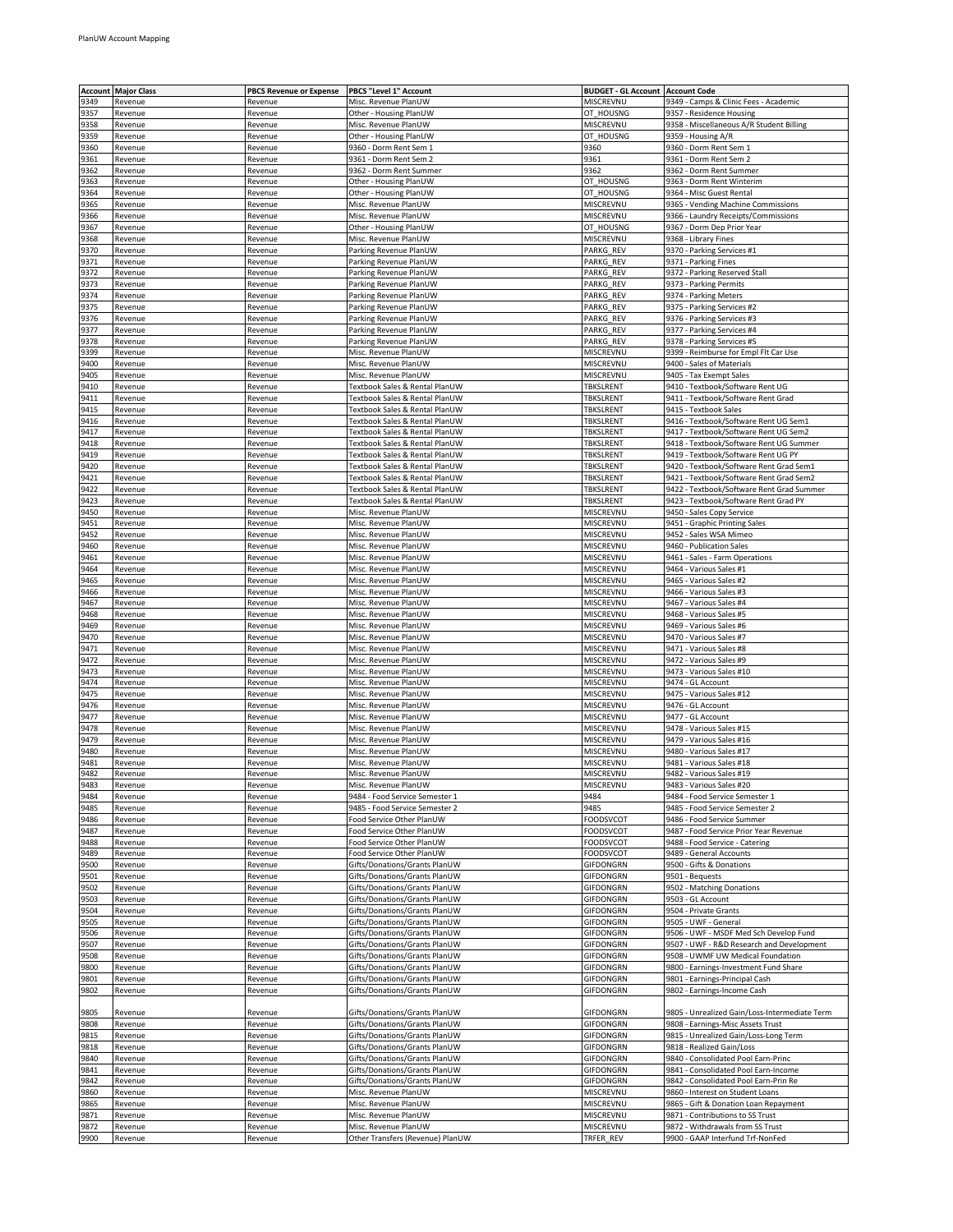|              | <b>Account Major Class</b> | <b>PBCS Revenue or Expense</b> | PBCS "Level 1" Account                                         | <b>BUDGET - GL Account   Account Code</b> |                                                                           |
|--------------|----------------------------|--------------------------------|----------------------------------------------------------------|-------------------------------------------|---------------------------------------------------------------------------|
| 9349         | Revenue                    | Revenue                        | Misc. Revenue PlanUW                                           | MISCREVNU                                 | 9349 - Camps & Clinic Fees - Academic                                     |
| 9357         | Revenue                    | Revenue                        | Other - Housing PlanUW                                         | OT_HOUSNG                                 | 9357 - Residence Housing                                                  |
| 9358         | Revenue                    | Revenue                        | Misc. Revenue PlanUW                                           | MISCREVNU                                 | 9358 - Miscellaneous A/R Student Billing                                  |
| 9359         | Revenue                    | Revenue                        | Other - Housing PlanUW                                         | OT_HOUSNG                                 | 9359 - Housing A/R                                                        |
| 9360         | Revenue                    | Revenue                        | 9360 - Dorm Rent Sem 1                                         | 9360                                      | 9360 - Dorm Rent Sem 1                                                    |
| 9361<br>9362 | Revenue<br>Revenue         | Revenue<br>Revenue             | 9361 - Dorm Rent Sem 2<br>9362 - Dorm Rent Summer              | 9361<br>9362                              | 9361 - Dorm Rent Sem 2<br>9362 - Dorm Rent Summer                         |
| 9363         | Revenue                    | Revenue                        | Other - Housing PlanUW                                         | OT_HOUSNG                                 | 9363 - Dorm Rent Winterim                                                 |
| 9364         | Revenue                    | Revenue                        | Other - Housing PlanUW                                         | OT_HOUSNG                                 | 9364 - Misc Guest Rental                                                  |
| 9365         | Revenue                    | Revenue                        | Misc. Revenue PlanUW                                           | MISCREVNU                                 | 9365 - Vending Machine Commissions                                        |
| 9366         | Revenue                    | Revenue                        | Misc. Revenue PlanUW                                           | MISCREVNU                                 | 9366 - Laundry Receipts/Commissions                                       |
| 9367         | Revenue                    | Revenue                        | Other - Housing PlanUW                                         | OT_HOUSNG                                 | 9367 - Dorm Dep Prior Year                                                |
| 9368         | Revenue                    | Revenue                        | Misc. Revenue PlanUW                                           | MISCREVNU                                 | 9368 - Library Fines                                                      |
| 9370         | Revenue                    | Revenue                        | Parking Revenue PlanUW                                         | PARKG_REV                                 | 9370 - Parking Services #1                                                |
| 9371         | Revenue                    | Revenue                        | Parking Revenue PlanUW                                         | PARKG_REV                                 | 9371 - Parking Fines                                                      |
| 9372         | Revenue                    | Revenue                        | Parking Revenue PlanUW                                         | PARKG_REV                                 | 9372 - Parking Reserved Stall                                             |
| 9373         | Revenue                    | Revenue                        | Parking Revenue PlanUW                                         | PARKG REV                                 | 9373 - Parking Permits                                                    |
| 9374         | Revenue                    | Revenue                        | Parking Revenue PlanUW                                         | PARKG REV                                 | 9374 - Parking Meters                                                     |
| 9375         | Revenue                    | Revenue                        | Parking Revenue PlanUW                                         | PARKG_REV                                 | 9375 - Parking Services #2                                                |
| 9376<br>9377 | Revenue                    | Revenue                        | Parking Revenue PlanUW<br>Parking Revenue PlanUW               | PARKG_REV<br>PARKG_REV                    | 9376 - Parking Services #3<br>9377 - Parking Services #4                  |
| 9378         | Revenue<br>Revenue         | Revenue<br>Revenue             | Parking Revenue PlanUW                                         | PARKG REV                                 | 9378 - Parking Services #5                                                |
| 9399         | Revenue                    | Revenue                        | Misc. Revenue PlanUW                                           | MISCREVNU                                 | 9399 - Reimburse for Empl Flt Car Use                                     |
| 9400         | Revenue                    | Revenue                        | Misc. Revenue PlanUW                                           | MISCREVNU                                 | 9400 - Sales of Materials                                                 |
| 9405         | Revenue                    | Revenue                        | Misc. Revenue PlanUW                                           | MISCREVNU                                 | 9405 - Tax Exempt Sales                                                   |
| 9410         | Revenue                    | Revenue                        | Textbook Sales & Rental PlanUW                                 | TBKSLRENT                                 | 9410 - Textbook/Software Rent UG                                          |
| 9411         | Revenue                    | Revenue                        | Textbook Sales & Rental PlanUW                                 | <b>TBKSLRENT</b>                          | 9411 - Textbook/Software Rent Grad                                        |
| 9415         | Revenue                    | Revenue                        | Textbook Sales & Rental PlanUW                                 | <b>TBKSLRENT</b>                          | 9415 - Textbook Sales                                                     |
| 9416         | Revenue                    | Revenue                        | Textbook Sales & Rental PlanUW                                 | TBKSLRENT                                 | 9416 - Textbook/Software Rent UG Sem1                                     |
| 9417         | Revenue                    | Revenue                        | Textbook Sales & Rental PlanUW                                 | TBKSLRENT                                 | 9417 - Textbook/Software Rent UG Sem2                                     |
| 9418         | Revenue                    | Revenue                        | Textbook Sales & Rental PlanUW                                 | TBKSLRENT                                 | 9418 - Textbook/Software Rent UG Summer                                   |
| 9419         | Revenue                    | Revenue                        | Textbook Sales & Rental PlanUW                                 | <b>TBKSLRENT</b>                          | 9419 - Textbook/Software Rent UG PY                                       |
| 9420         | Revenue                    | Revenue                        | Textbook Sales & Rental PlanUW                                 | TBKSLRENT                                 | 9420 - Textbook/Software Rent Grad Sem1                                   |
| 9421         | Revenue                    | Revenue                        | Textbook Sales & Rental PlanUW                                 | <b>TBKSLRENT</b>                          | 9421 - Textbook/Software Rent Grad Sem2                                   |
| 9422         | Revenue                    | Revenue                        | Textbook Sales & Rental PlanUW                                 | TBKSLRENT                                 | 9422 - Textbook/Software Rent Grad Summer                                 |
| 9423         | Revenue                    | Revenue                        | Textbook Sales & Rental PlanUW                                 | TBKSLRENT                                 | 9423 - Textbook/Software Rent Grad PY                                     |
| 9450         | Revenue                    | Revenue                        | Misc. Revenue PlanUW                                           | MISCREVNL                                 | 9450 - Sales Copy Service                                                 |
| 9451         | Revenue                    | Revenue                        | Misc. Revenue PlanUW                                           | MISCREVNU                                 | 9451 - Graphic Printing Sales                                             |
| 9452<br>9460 | Revenue                    | Revenue<br>Revenue             | Misc. Revenue PlanUW<br>Misc. Revenue PlanUW                   | MISCREVNU<br>MISCREVNU                    | 9452 - Sales WSA Mimeo<br>9460 - Publication Sales                        |
| 9461         | Revenue<br>Revenue         | Revenue                        | Misc. Revenue PlanUW                                           | MISCREVNU                                 | 9461 - Sales - Farm Operations                                            |
| 9464         | Revenue                    | Revenue                        | Misc. Revenue PlanUW                                           | MISCREVNU                                 | 9464 - Various Sales #1                                                   |
| 9465         | Revenue                    | Revenue                        | Misc. Revenue PlanUW                                           | MISCREVNU                                 | 9465 - Various Sales #2                                                   |
| 9466         | Revenue                    | Revenue                        | Misc. Revenue PlanUW                                           | MISCREVNL                                 | 9466 - Various Sales #3                                                   |
| 9467         | Revenue                    | Revenue                        | Misc. Revenue PlanUW                                           | MISCREVNU                                 | 9467 - Various Sales #4                                                   |
| 9468         | Revenue                    | Revenue                        | Misc. Revenue PlanUW                                           | MISCREVNL                                 | 9468 - Various Sales #5                                                   |
| 9469         | Revenue                    | Revenue                        | Misc. Revenue PlanUW                                           | MISCREVNU                                 | 9469 - Various Sales #6                                                   |
| 9470         | Revenue                    | Revenue                        | Misc. Revenue PlanUW                                           | MISCREVNU                                 | 9470 - Various Sales #7                                                   |
| 9471         | Revenue                    | Revenue                        | Misc. Revenue PlanUW                                           | MISCREVNU                                 | 9471 - Various Sales #8                                                   |
| 9472         | Revenue                    | Revenue                        | Misc. Revenue PlanUW                                           | MISCREVNL                                 | 9472 - Various Sales #9                                                   |
| 9473         | Revenue                    | Revenue                        | Misc. Revenue PlanUW                                           | MISCREVNU                                 | 9473 - Various Sales #10                                                  |
| 9474         | Revenue                    | Revenue                        | Misc. Revenue PlanUW                                           | MISCREVNU                                 | 9474 - GL Account                                                         |
| 3475         | Revenue                    | Revenue                        | Misc. Revenue PlanUW                                           | MISCREVNL                                 | 9475 - Various Sales #12                                                  |
| 9476         | Revenue                    | Revenue                        | Misc. Revenue PlanUW                                           | MISCREVNU                                 | 9476 - GL Account                                                         |
| 9477         | Revenue                    | Revenue                        | Misc. Revenue PlanUW                                           | MISCREVNU                                 | 9477 - GL Account                                                         |
| 9478<br>9479 | Revenue<br>Revenue         | Revenue<br>Revenue             | Misc. Revenue PlanUW<br>Misc. Revenue PlanUW                   | MISCREVNU<br>MISCREVNU                    | 9478 - Various Sales #15<br>9479 - Various Sales #16                      |
| 9480         | Revenue                    | Revenue                        | Misc. Revenue PlanUW                                           | MISCREVNU                                 | 9480 - Various Sales #17                                                  |
| 9481         | Revenue                    | Revenue                        | Misc. Revenue PlanUW                                           | MISCREVNL                                 | 9481 - Various Sales #18                                                  |
| 9482         | Revenue                    | Revenue                        | Misc. Revenue PlanUW                                           | MISCREVNU                                 | 9482 - Various Sales #19                                                  |
| 9483         | Revenue                    | Revenue                        | Misc. Revenue PlanUW                                           | MISCREVNU                                 | 9483 - Various Sales #20                                                  |
| 3484         | Revenue                    | Revenue                        | 9484 - Food Service Semester 1                                 | 9484                                      | 9484 - Food Service Semester 1                                            |
| 9485         | Revenue                    | Revenue                        | 9485 - Food Service Semester 2                                 | 9485                                      | 9485 - Food Service Semester 2                                            |
| 9486         | Revenue                    | Revenue                        | Food Service Other PlanUW                                      | <b>FOODSVCOT</b>                          | 9486 - Food Service Summer                                                |
| 9487         | Revenue                    | Revenue                        | Food Service Other PlanUW                                      | FOODSVCOT                                 | 9487 - Food Service Prior Year Revenue                                    |
| 9488         | Revenue                    | Revenue                        | Food Service Other PlanUW                                      | FOODSVCOT                                 | 9488 - Food Service - Catering                                            |
| 9489         | Revenue                    | Revenue                        | Food Service Other PlanUW                                      | FOODSVCOT                                 | 9489 - General Accounts                                                   |
| 9500         | Revenue                    | Revenue                        | Gifts/Donations/Grants PlanUW                                  | GIFDONGRN                                 | 9500 - Gifts & Donations                                                  |
| 9501         | Revenue                    | Revenue                        | Gifts/Donations/Grants PlanUW                                  | GIFDONGRN                                 | 9501 - Bequests                                                           |
| 9502         | Revenue                    | Revenue                        | Gifts/Donations/Grants PlanUW                                  | GIFDONGRN                                 | 9502 - Matching Donations                                                 |
| 9503         | Revenue                    | Revenue<br>Revenue             | Gifts/Donations/Grants PlanUW                                  | GIFDONGRN                                 | 9503 - GL Account<br>9504 - Private Grants                                |
| 9504<br>9505 | Revenue<br>Revenue         | Revenue                        | Gifts/Donations/Grants PlanUW<br>Gifts/Donations/Grants PlanUW | GIFDONGRN<br>GIFDONGRN                    | 9505 - UWF - General                                                      |
| 9506         | Revenue                    | Revenue                        | Gifts/Donations/Grants PlanUW                                  | GIFDONGRN                                 | 9506 - UWF - MSDF Med Sch Develop Fund                                    |
| 9507         | Revenue                    | Revenue                        | Gifts/Donations/Grants PlanUW                                  | GIFDONGRN                                 | 9507 - UWF - R&D Research and Development                                 |
| 9508         | Revenue                    | Revenue                        | Gifts/Donations/Grants PlanUW                                  | GIFDONGRN                                 | 9508 - UWMF UW Medical Foundation                                         |
| 9800         | Revenue                    | Revenue                        | Gifts/Donations/Grants PlanUW                                  | GIFDONGRN                                 | 9800 - Earnings-Investment Fund Share                                     |
| 9801         | Revenue                    | Revenue                        | Gifts/Donations/Grants PlanUW                                  | GIFDONGRN                                 | 9801 - Earnings-Principal Cash                                            |
| 9802         | Revenue                    | Revenue                        | Gifts/Donations/Grants PlanUW                                  | GIFDONGRN                                 | 9802 - Earnings-Income Cash                                               |
|              |                            |                                |                                                                |                                           |                                                                           |
| 9805         | Revenue                    | Revenue                        | Gifts/Donations/Grants PlanUW                                  | GIFDONGRN                                 | 9805 - Unrealized Gain/Loss-Intermediate Term                             |
| 9808         | Revenue                    | Revenue                        | Gifts/Donations/Grants PlanUW                                  | GIFDONGRN                                 | 9808 - Earnings-Misc Assets Trust                                         |
| 9815         | Revenue                    | Revenue                        | Gifts/Donations/Grants PlanUW                                  | GIFDONGRN                                 | 9815 - Unrealized Gain/Loss-Long Term                                     |
| 9818         | Revenue                    | Revenue                        | Gifts/Donations/Grants PlanUW                                  | GIFDONGRN                                 | 9818 - Realized Gain/Loss                                                 |
| 9840         | Revenue                    | Revenue                        | Gifts/Donations/Grants PlanUW                                  | GIFDONGRN                                 | 9840 - Consolidated Pool Earn-Princ                                       |
| 9841         | Revenue                    | Revenue                        | Gifts/Donations/Grants PlanUW                                  | GIFDONGRN                                 | 9841 - Consolidated Pool Earn-Income                                      |
| 9842         | Revenue                    | Revenue                        | Gifts/Donations/Grants PlanUW                                  | GIFDONGRN                                 | 9842 - Consolidated Pool Earn-Prin Re                                     |
| 9860         | Revenue                    | Revenue                        | Misc. Revenue PlanUW                                           | MISCREVNU                                 | 9860 - Interest on Student Loans                                          |
| 9865<br>9871 | Revenue<br>Revenue         | Revenue<br>Revenue             | Misc. Revenue PlanUW<br>Misc. Revenue PlanUW                   | MISCREVNU<br>MISCREVNU                    | 9865 - Gift & Donation Loan Repayment<br>9871 - Contributions to SS Trust |
| 9872         | Revenue                    | Revenue                        | Misc. Revenue PlanUW                                           | MISCREVNU                                 | 9872 - Withdrawals from SS Trust                                          |
| 9900         | Revenue                    | Revenue                        | Other Transfers (Revenue) PlanUW                               | TRFER_REV                                 | 9900 - GAAP Interfund Trf-NonFed                                          |
|              |                            |                                |                                                                |                                           |                                                                           |